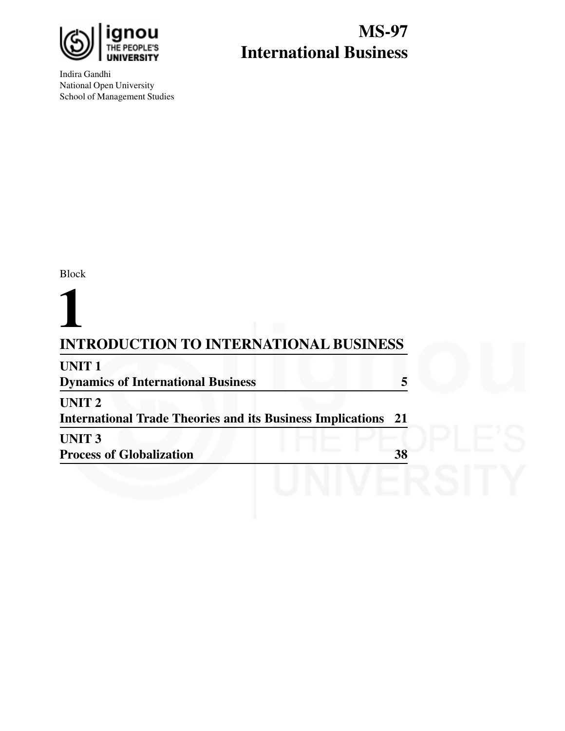

Indira Gandhi National Open University School of Management Studies

# **MS-97 International Business**

Block

# **INTRODUCTION TO INTERNATIONAL BUSINESS UNIT 1 Dynamics of International Business 5 UNIT 2 International Trade Theories and its Business Implications 21 UNIT 3 Process of Globalization 38 1**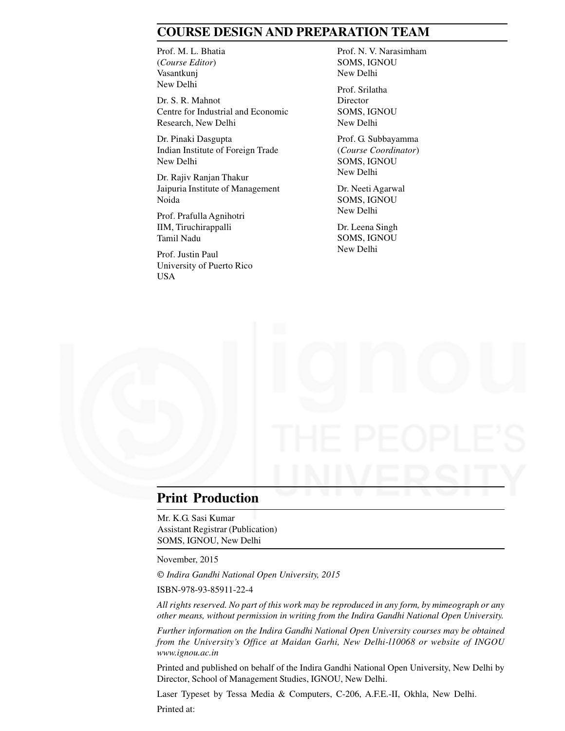### **COURSE DESIGN AND PREPARATION TEAM**

Prof. M. L. Bhatia (*Course Editor*) Vasantkunj New Delhi

Dr. S. R. Mahnot Centre for Industrial and Economic Research, New Delhi

Dr. Pinaki Dasgupta Indian Institute of Foreign Trade New Delhi

Dr. Rajiv Ranjan Thakur Jaipuria Institute of Management Noida

Prof. Prafulla Agnihotri IIM, Tiruchirappalli Tamil Nadu

Prof. Justin Paul University of Puerto Rico USA

Prof. N. V. Narasimham SOMS, IGNOU New Delhi

Prof. Srilatha **Director** SOMS, IGNOU New Delhi

Prof. G. Subbayamma (*Course Coordinator*) SOMS, IGNOU New Delhi

Dr. Neeti Agarwal SOMS, IGNOU New Delhi

Dr. Leena Singh SOMS, IGNOU New Delhi

### **Print Production**

Mr. K.G. Sasi Kumar Assistant Registrar (Publication) SOMS, IGNOU, New Delhi

November, 2015

*Indira Gandhi National Open University, 2015*

ISBN-978-93-85911-22-4

*All rights reserved. No part of this work may be reproduced in any form, by mimeograph or any other means, without permission in writing from the Indira Gandhi National Open University.*

*Further information on the Indira Gandhi National Open University courses may be obtained from the University's Office at Maidan Garhi, New Delhi-l10068 or website of INGOU www.ignou.ac.in*

Printed and published on behalf of the Indira Gandhi National Open University, New Delhi by Director, School of Management Studies, IGNOU, New Delhi.

Laser Typeset by Tessa Media & Computers, C-206, A.F.E.-II, Okhla, New Delhi.

Printed at: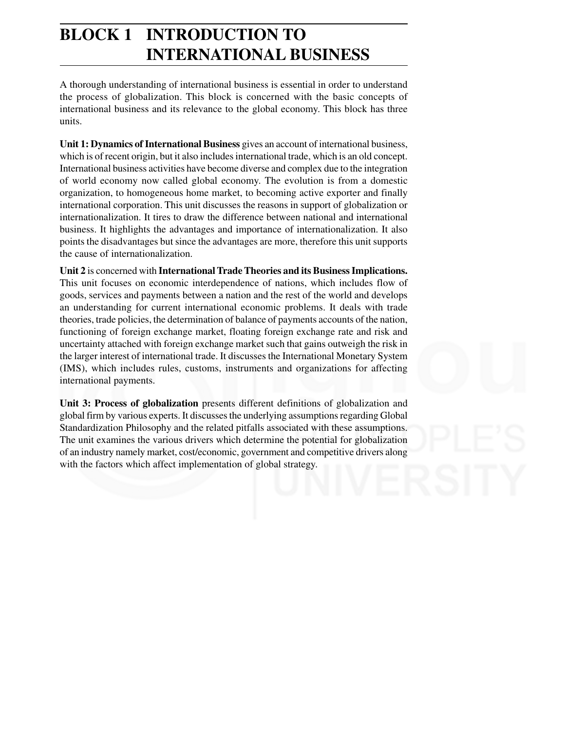# **BLOCK 1 INTRODUCTION TO INTERNATIONAL BUSINESS**

A thorough understanding of international business is essential in order to understand the process of globalization. This block is concerned with the basic concepts of international business and its relevance to the global economy. This block has three units.

**Unit 1: Dynamics of International Business** gives an account of international business, which is of recent origin, but it also includes international trade, which is an old concept. International business activities have become diverse and complex due to the integration of world economy now called global economy. The evolution is from a domestic organization, to homogeneous home market, to becoming active exporter and finally international corporation. This unit discusses the reasons in support of globalization or internationalization. It tires to draw the difference between national and international business. It highlights the advantages and importance of internationalization. It also points the disadvantages but since the advantages are more, therefore this unit supports the cause of internationalization.

**Unit 2** is concerned with **International Trade Theories and its Business Implications.** This unit focuses on economic interdependence of nations, which includes flow of goods, services and payments between a nation and the rest of the world and develops an understanding for current international economic problems. It deals with trade theories, trade policies, the determination of balance of payments accounts of the nation, functioning of foreign exchange market, floating foreign exchange rate and risk and uncertainty attached with foreign exchange market such that gains outweigh the risk in the larger interest of international trade. It discusses the International Monetary System (IMS), which includes rules, customs, instruments and organizations for affecting international payments.

**Unit 3: Process of globalization** presents different definitions of globalization and global firm by various experts. It discusses the underlying assumptions regarding Global Standardization Philosophy and the related pitfalls associated with these assumptions. The unit examines the various drivers which determine the potential for globalization of an industry namely market, cost/economic, government and competitive drivers along with the factors which affect implementation of global strategy.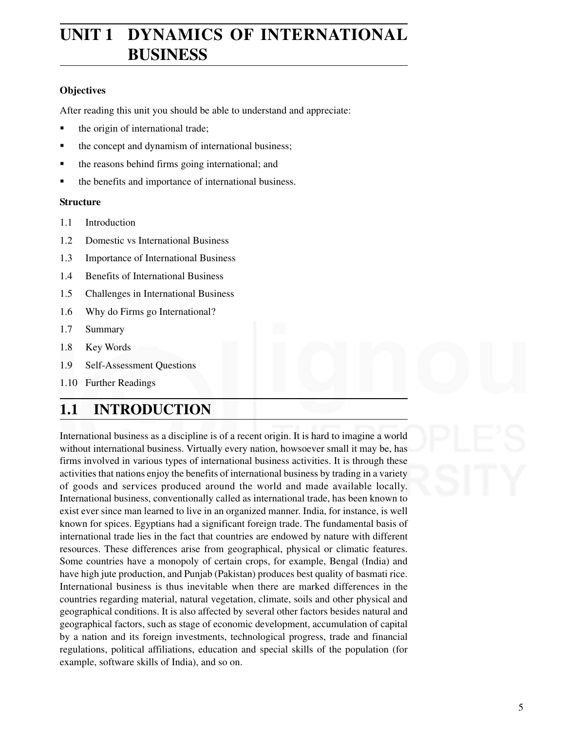# **Dynamics of International UNIT 1 DYNAMICS OF INTERNATIONAL Business BUSINESS**

### **Objectives**

After reading this unit you should be able to understand and appreciate:

- the origin of international trade;
- the concept and dynamism of international business;
- the reasons behind firms going international; and
- the benefits and importance of international business.

### **Structure**

- 1.1 Introduction
- 1.2 Domestic vs International Business
- 1.3 Importance of International Business
- 1.4 Benefits of International Business
- 1.5 Challenges in International Business
- 1.6 Why do Firms go International?
- 1.7 Summary
- 1.8 Key Words
- 1.9 Self-Assessment Questions
- 1.10 Further Readings

## **1.1 INTRODUCTION**

International business as a discipline is of a recent origin. It is hard to imagine a world without international business. Virtually every nation, howsoever small it may be, has firms involved in various types of international business activities. It is through these activities that nations enjoy the benefits of international business by trading in a variety of goods and services produced around the world and made available locally. International business, conventionally called as international trade, has been known to exist ever since man learned to live in an organized manner. India, for instance, is well known for spices. Egyptians had a significant foreign trade. The fundamental basis of international trade lies in the fact that countries are endowed by nature with different resources. These differences arise from geographical, physical or climatic features. Some countries have a monopoly of certain crops, for example, Bengal (India) and have high jute production, and Punjab (Pakistan) produces best quality of basmati rice. International business is thus inevitable when there are marked differences in the countries regarding material, natural vegetation, climate, soils and other physical and geographical conditions. It is also affected by several other factors besides natural and geographical factors, such as stage of economic development, accumulation of capital by a nation and its foreign investments, technological progress, trade and financial regulations, political affiliations, education and special skills of the population (for example, software skills of India), and so on.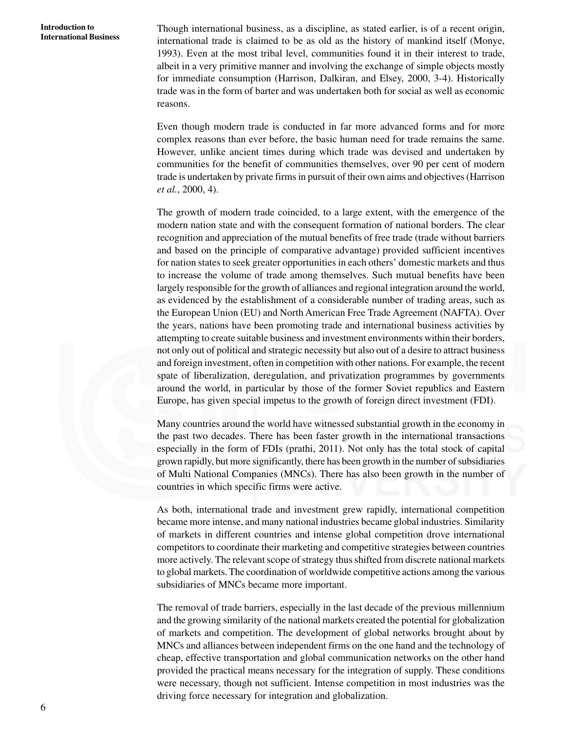#### **Introduction to International Business**

Though international business, as a discipline, as stated earlier, is of a recent origin, international trade is claimed to be as old as the history of mankind itself (Monye, 1993). Even at the most tribal level, communities found it in their interest to trade, albeit in a very primitive manner and involving the exchange of simple objects mostly for immediate consumption (Harrison, Dalkiran, and Elsey, 2000, 3-4). Historically trade was in the form of barter and was undertaken both for social as well as economic reasons.

Even though modern trade is conducted in far more advanced forms and for more complex reasons than ever before, the basic human need for trade remains the same. However, unlike ancient times during which trade was devised and undertaken by communities for the benefit of communities themselves, over 90 per cent of modern trade is undertaken by private firms in pursuit of their own aims and objectives (Harrison *et al.*, 2000, 4).

The growth of modern trade coincided, to a large extent, with the emergence of the modern nation state and with the consequent formation of national borders. The clear recognition and appreciation of the mutual benefits of free trade (trade without barriers and based on the principle of comparative advantage) provided sufficient incentives for nation states to seek greater opportunities in each others' domestic markets and thus to increase the volume of trade among themselves. Such mutual benefits have been largely responsible for the growth of alliances and regional integration around the world, as evidenced by the establishment of a considerable number of trading areas, such as the European Union (EU) and North American Free Trade Agreement (NAFTA). Over the years, nations have been promoting trade and international business activities by attempting to create suitable business and investment environments within their borders, not only out of political and strategic necessity but also out of a desire to attract business and foreign investment, often in competition with other nations. For example, the recent spate of liberalization, deregulation, and privatization programmes by governments around the world, in particular by those of the former Soviet republics and Eastern Europe, has given special impetus to the growth of foreign direct investment (FDI).

Many countries around the world have witnessed substantial growth in the economy in the past two decades. There has been faster growth in the international transactions especially in the form of FDIs (prathi, 2011). Not only has the total stock of capital grown rapidly, but more significantly, there has been growth in the number of subsidiaries of Multi National Companies (MNCs). There has also been growth in the number of countries in which specific firms were active.

As both, international trade and investment grew rapidly, international competition became more intense, and many national industries became global industries. Similarity of markets in different countries and intense global competition drove international competitors to coordinate their marketing and competitive strategies between countries more actively. The relevant scope of strategy thus shifted from discrete national markets to global markets. The coordination of worldwide competitive actions among the various subsidiaries of MNCs became more important.

The removal of trade barriers, especially in the last decade of the previous millennium and the growing similarity of the national markets created the potential for globalization of markets and competition. The development of global networks brought about by MNCs and alliances between independent firms on the one hand and the technology of cheap, effective transportation and global communication networks on the other hand provided the practical means necessary for the integration of supply. These conditions were necessary, though not sufficient. Intense competition in most industries was the driving force necessary for integration and globalization.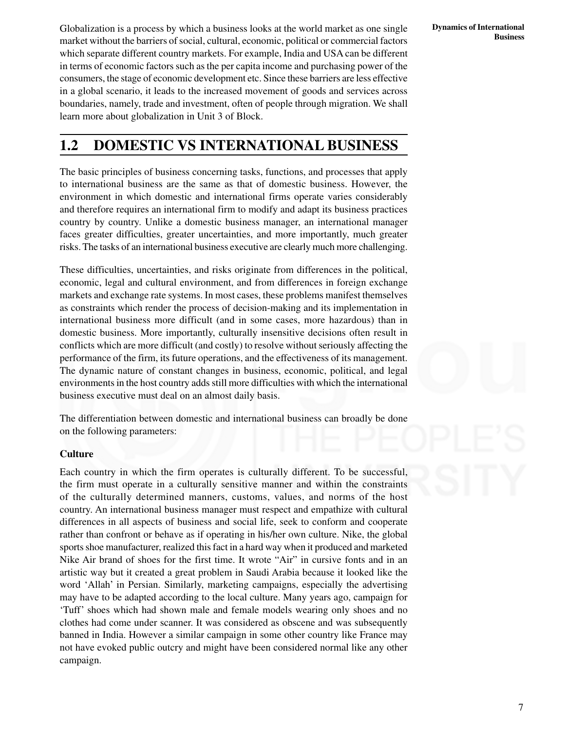Globalization is a process by which a business looks at the world market as one single market without the barriers of social, cultural, economic, political or commercial factors which separate different country markets. For example, India and USA can be different in terms of economic factors such as the per capita income and purchasing power of the consumers, the stage of economic development etc. Since these barriers are less effective in a global scenario, it leads to the increased movement of goods and services across boundaries, namely, trade and investment, often of people through migration. We shall learn more about globalization in Unit 3 of Block.

### **1.2 DOMESTIC VS INTERNATIONAL BUSINESS**

The basic principles of business concerning tasks, functions, and processes that apply to international business are the same as that of domestic business. However, the environment in which domestic and international firms operate varies considerably and therefore requires an international firm to modify and adapt its business practices country by country. Unlike a domestic business manager, an international manager faces greater difficulties, greater uncertainties, and more importantly, much greater risks. The tasks of an international business executive are clearly much more challenging.

These difficulties, uncertainties, and risks originate from differences in the political, economic, legal and cultural environment, and from differences in foreign exchange markets and exchange rate systems. In most cases, these problems manifest themselves as constraints which render the process of decision-making and its implementation in international business more difficult (and in some cases, more hazardous) than in domestic business. More importantly, culturally insensitive decisions often result in conflicts which are more difficult (and costly) to resolve without seriously affecting the performance of the firm, its future operations, and the effectiveness of its management. The dynamic nature of constant changes in business, economic, political, and legal environments in the host country adds still more difficulties with which the international business executive must deal on an almost daily basis.

The differentiation between domestic and international business can broadly be done on the following parameters:

### **Culture**

Each country in which the firm operates is culturally different. To be successful, the firm must operate in a culturally sensitive manner and within the constraints of the culturally determined manners, customs, values, and norms of the host country. An international business manager must respect and empathize with cultural differences in all aspects of business and social life, seek to conform and cooperate rather than confront or behave as if operating in his/her own culture. Nike, the global sports shoe manufacturer, realized this fact in a hard way when it produced and marketed Nike Air brand of shoes for the first time. It wrote "Air" in cursive fonts and in an artistic way but it created a great problem in Saudi Arabia because it looked like the word 'Allah' in Persian. Similarly, marketing campaigns, especially the advertising may have to be adapted according to the local culture. Many years ago, campaign for 'Tuff' shoes which had shown male and female models wearing only shoes and no clothes had come under scanner. It was considered as obscene and was subsequently banned in India. However a similar campaign in some other country like France may not have evoked public outcry and might have been considered normal like any other campaign.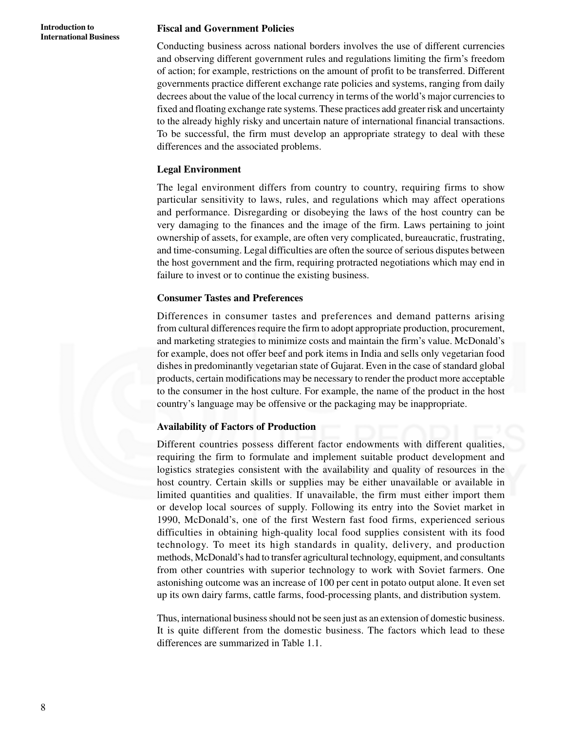#### **Introduction to International Business**

#### **Fiscal and Government Policies**

Conducting business across national borders involves the use of different currencies and observing different government rules and regulations limiting the firm's freedom of action; for example, restrictions on the amount of profit to be transferred. Different governments practice different exchange rate policies and systems, ranging from daily decrees about the value of the local currency in terms of the world's major currencies to fixed and floating exchange rate systems. These practices add greater risk and uncertainty to the already highly risky and uncertain nature of international financial transactions. To be successful, the firm must develop an appropriate strategy to deal with these differences and the associated problems.

#### **Legal Environment**

The legal environment differs from country to country, requiring firms to show particular sensitivity to laws, rules, and regulations which may affect operations and performance. Disregarding or disobeying the laws of the host country can be very damaging to the finances and the image of the firm. Laws pertaining to joint ownership of assets, for example, are often very complicated, bureaucratic, frustrating, and time-consuming. Legal difficulties are often the source of serious disputes between the host government and the firm, requiring protracted negotiations which may end in failure to invest or to continue the existing business.

### **Consumer Tastes and Preferences**

Differences in consumer tastes and preferences and demand patterns arising from cultural differences require the firm to adopt appropriate production, procurement, and marketing strategies to minimize costs and maintain the firm's value. McDonald's for example, does not offer beef and pork items in India and sells only vegetarian food dishes in predominantly vegetarian state of Gujarat. Even in the case of standard global products, certain modifications may be necessary to render the product more acceptable to the consumer in the host culture. For example, the name of the product in the host country's language may be offensive or the packaging may be inappropriate.

### **Availability of Factors of Production**

Different countries possess different factor endowments with different qualities, requiring the firm to formulate and implement suitable product development and logistics strategies consistent with the availability and quality of resources in the host country. Certain skills or supplies may be either unavailable or available in limited quantities and qualities. If unavailable, the firm must either import them or develop local sources of supply. Following its entry into the Soviet market in 1990, McDonald's, one of the first Western fast food firms, experienced serious difficulties in obtaining high-quality local food supplies consistent with its food technology. To meet its high standards in quality, delivery, and production methods, McDonald's had to transfer agricultural technology, equipment, and consultants from other countries with superior technology to work with Soviet farmers. One astonishing outcome was an increase of 100 per cent in potato output alone. It even set up its own dairy farms, cattle farms, food-processing plants, and distribution system.

Thus, international business should not be seen just as an extension of domestic business. It is quite different from the domestic business. The factors which lead to these differences are summarized in Table 1.1.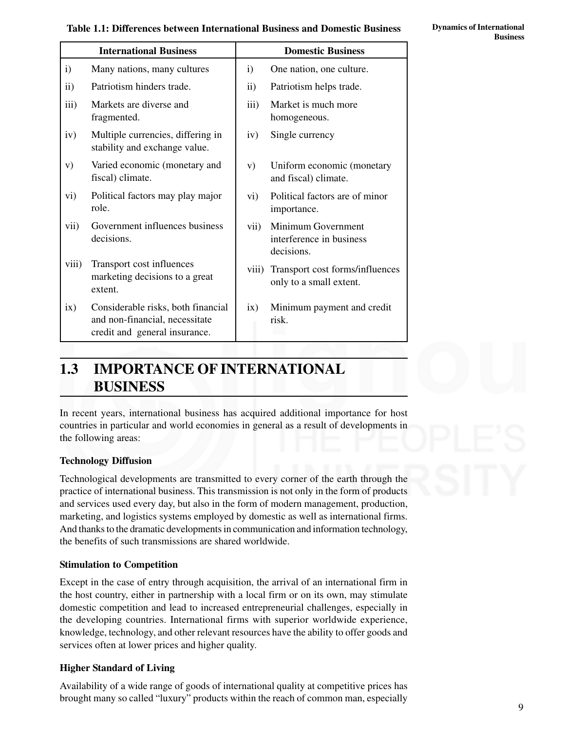### **Table 1.1: Differences between International Business and Domestic Business**

| <b>International Business</b> |                                                                                                       |               | <b>Domestic Business</b>                                     |  |  |
|-------------------------------|-------------------------------------------------------------------------------------------------------|---------------|--------------------------------------------------------------|--|--|
| $\mathbf{i}$                  | Many nations, many cultures                                                                           | $\mathbf{i}$  | One nation, one culture.                                     |  |  |
| $\rm ii)$                     | Patriotism hinders trade.                                                                             | $\mathbf{ii}$ | Patriotism helps trade.                                      |  |  |
| iii)                          | Markets are diverse and<br>fragmented.                                                                | iii)          | Market is much more<br>homogeneous.                          |  |  |
| iv)                           | Multiple currencies, differing in<br>stability and exchange value.                                    | iv)           | Single currency                                              |  |  |
| V)                            | Varied economic (monetary and<br>fiscal) climate.                                                     | V)            | Uniform economic (monetary<br>and fiscal) climate.           |  |  |
| vi)                           | Political factors may play major<br>role.                                                             | vi)           | Political factors are of minor<br>importance.                |  |  |
| vii)                          | Government influences business<br>decisions.                                                          | vii)          | Minimum Government<br>interference in business<br>decisions. |  |  |
| viii)                         | Transport cost influences<br>marketing decisions to a great<br>extent.                                | viii)         | Transport cost forms/influences<br>only to a small extent.   |  |  |
| ix)                           | Considerable risks, both financial<br>and non-financial, necessitate<br>credit and general insurance. | ix)           | Minimum payment and credit<br>risk.                          |  |  |

## **1.3 IMPORTANCE OF INTERNATIONAL BUSINESS**

In recent years, international business has acquired additional importance for host countries in particular and world economies in general as a result of developments in the following areas:

### **Technology Diffusion**

Technological developments are transmitted to every corner of the earth through the practice of international business. This transmission is not only in the form of products and services used every day, but also in the form of modern management, production, marketing, and logistics systems employed by domestic as well as international firms. And thanks to the dramatic developments in communication and information technology, the benefits of such transmissions are shared worldwide.

### **Stimulation to Competition**

Except in the case of entry through acquisition, the arrival of an international firm in the host country, either in partnership with a local firm or on its own, may stimulate domestic competition and lead to increased entrepreneurial challenges, especially in the developing countries. International firms with superior worldwide experience, knowledge, technology, and other relevant resources have the ability to offer goods and services often at lower prices and higher quality.

### **Higher Standard of Living**

Availability of a wide range of goods of international quality at competitive prices has brought many so called "luxury" products within the reach of common man, especially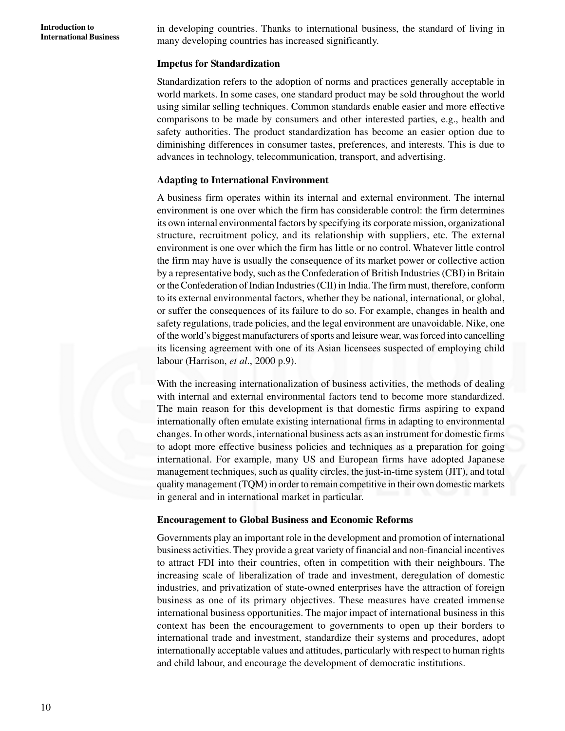in developing countries. Thanks to international business, the standard of living in many developing countries has increased significantly.

### **Impetus for Standardization**

Standardization refers to the adoption of norms and practices generally acceptable in world markets. In some cases, one standard product may be sold throughout the world using similar selling techniques. Common standards enable easier and more effective comparisons to be made by consumers and other interested parties, e.g., health and safety authorities. The product standardization has become an easier option due to diminishing differences in consumer tastes, preferences, and interests. This is due to advances in technology, telecommunication, transport, and advertising.

### **Adapting to International Environment**

A business firm operates within its internal and external environment. The internal environment is one over which the firm has considerable control: the firm determines its own internal environmental factors by specifying its corporate mission, organizational structure, recruitment policy, and its relationship with suppliers, etc. The external environment is one over which the firm has little or no control. Whatever little control the firm may have is usually the consequence of its market power or collective action by a representative body, such as the Confederation of British Industries (CBI) in Britain or the Confederation of Indian Industries (CII) in India. The firm must, therefore, conform to its external environmental factors, whether they be national, international, or global, or suffer the consequences of its failure to do so. For example, changes in health and safety regulations, trade policies, and the legal environment are unavoidable. Nike, one of the world's biggest manufacturers of sports and leisure wear, was forced into cancelling its licensing agreement with one of its Asian licensees suspected of employing child labour (Harrison, *et al*., 2000 p.9).

With the increasing internationalization of business activities, the methods of dealing with internal and external environmental factors tend to become more standardized. The main reason for this development is that domestic firms aspiring to expand internationally often emulate existing international firms in adapting to environmental changes. In other words, international business acts as an instrument for domestic firms to adopt more effective business policies and techniques as a preparation for going international. For example, many US and European firms have adopted Japanese management techniques, such as quality circles, the just-in-time system (JIT), and total quality management (TQM) in order to remain competitive in their own domestic markets in general and in international market in particular.

#### **Encouragement to Global Business and Economic Reforms**

Governments play an important role in the development and promotion of international business activities. They provide a great variety of financial and non-financial incentives to attract FDI into their countries, often in competition with their neighbours. The increasing scale of liberalization of trade and investment, deregulation of domestic industries, and privatization of state-owned enterprises have the attraction of foreign business as one of its primary objectives. These measures have created immense international business opportunities. The major impact of international business in this context has been the encouragement to governments to open up their borders to international trade and investment, standardize their systems and procedures, adopt internationally acceptable values and attitudes, particularly with respect to human rights and child labour, and encourage the development of democratic institutions.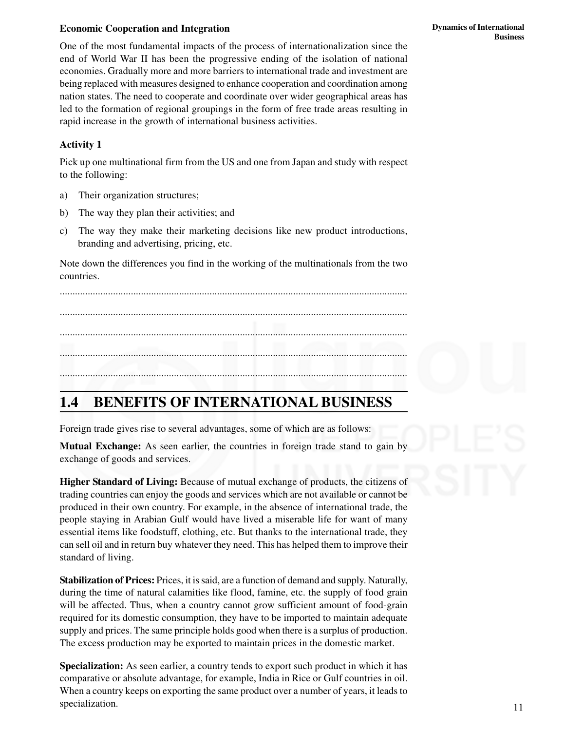### **Economic Cooperation and Integration**

One of the most fundamental impacts of the process of internationalization since the end of World War II has been the progressive ending of the isolation of national economies. Gradually more and more barriers to international trade and investment are being replaced with measures designed to enhance cooperation and coordination among nation states. The need to cooperate and coordinate over wider geographical areas has led to the formation of regional groupings in the form of free trade areas resulting in rapid increase in the growth of international business activities.

### **Activity 1**

Pick up one multinational firm from the US and one from Japan and study with respect to the following:

- a) Their organization structures;
- b) The way they plan their activities; and
- c) The way they make their marketing decisions like new product introductions, branding and advertising, pricing, etc.

Note down the differences you find in the working of the multinationals from the two countries.

......................................................................................................................................... ......................................................................................................................................... ......................................................................................................................................... ......................................................................................................................................... .........................................................................................................................................

# **1.4 BENEFITS OF INTERNATIONAL BUSINESS**

Foreign trade gives rise to several advantages, some of which are as follows:

**Mutual Exchange:** As seen earlier, the countries in foreign trade stand to gain by exchange of goods and services.

**Higher Standard of Living:** Because of mutual exchange of products, the citizens of trading countries can enjoy the goods and services which are not available or cannot be produced in their own country. For example, in the absence of international trade, the people staying in Arabian Gulf would have lived a miserable life for want of many essential items like foodstuff, clothing, etc. But thanks to the international trade, they can sell oil and in return buy whatever they need. This has helped them to improve their standard of living.

**Stabilization of Prices:** Prices, it is said, are a function of demand and supply. Naturally, during the time of natural calamities like flood, famine, etc. the supply of food grain will be affected. Thus, when a country cannot grow sufficient amount of food-grain required for its domestic consumption, they have to be imported to maintain adequate supply and prices. The same principle holds good when there is a surplus of production. The excess production may be exported to maintain prices in the domestic market.

**Specialization:** As seen earlier, a country tends to export such product in which it has comparative or absolute advantage, for example, India in Rice or Gulf countries in oil. When a country keeps on exporting the same product over a number of years, it leads to specialization.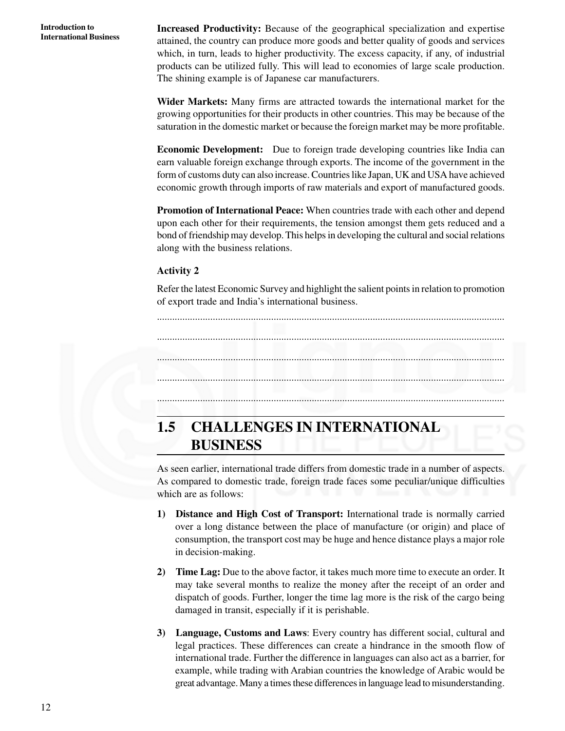**Introduction to International Business**

**Increased Productivity:** Because of the geographical specialization and expertise attained, the country can produce more goods and better quality of goods and services which, in turn, leads to higher productivity. The excess capacity, if any, of industrial products can be utilized fully. This will lead to economies of large scale production. The shining example is of Japanese car manufacturers.

**Wider Markets:** Many firms are attracted towards the international market for the growing opportunities for their products in other countries. This may be because of the saturation in the domestic market or because the foreign market may be more profitable.

**Economic Development:** Due to foreign trade developing countries like India can earn valuable foreign exchange through exports. The income of the government in the form of customs duty can also increase. Countries like Japan, UK and USA have achieved economic growth through imports of raw materials and export of manufactured goods.

**Promotion of International Peace:** When countries trade with each other and depend upon each other for their requirements, the tension amongst them gets reduced and a bond of friendship may develop. This helps in developing the cultural and social relations along with the business relations.

### **Activity 2**

Refer the latest Economic Survey and highlight the salient points in relation to promotion of export trade and India's international business.

......................................................................................................................................... .........................................................................................................................................

### .........................................................................................................................................

.........................................................................................................................................

# **1.5 CHALLENGES IN INTERNATIONAL BUSINESS**

.........................................................................................................................................

As seen earlier, international trade differs from domestic trade in a number of aspects. As compared to domestic trade, foreign trade faces some peculiar/unique difficulties which are as follows:

- **1) Distance and High Cost of Transport:** International trade is normally carried over a long distance between the place of manufacture (or origin) and place of consumption, the transport cost may be huge and hence distance plays a major role in decision-making.
- **2) Time Lag:** Due to the above factor, it takes much more time to execute an order. It may take several months to realize the money after the receipt of an order and dispatch of goods. Further, longer the time lag more is the risk of the cargo being damaged in transit, especially if it is perishable.
- **3) Language, Customs and Laws**: Every country has different social, cultural and legal practices. These differences can create a hindrance in the smooth flow of international trade. Further the difference in languages can also act as a barrier, for example, while trading with Arabian countries the knowledge of Arabic would be great advantage. Many a times these differences in language lead to misunderstanding.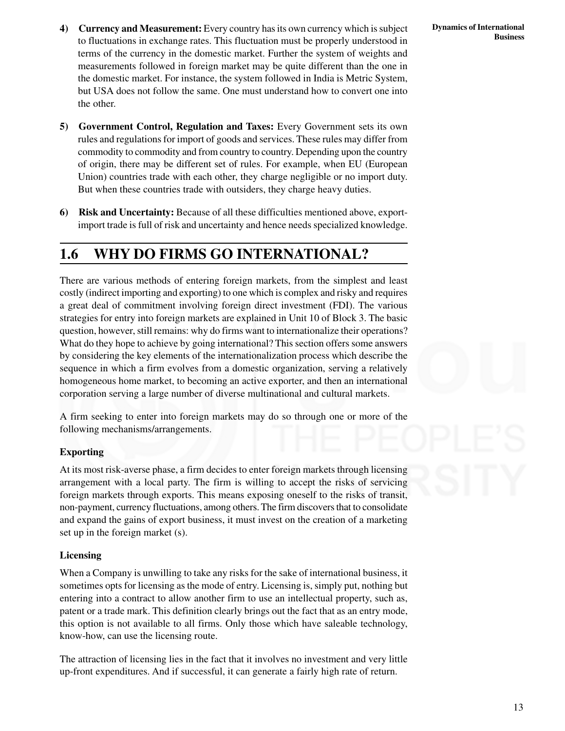- **4) Currency and Measurement:** Every country has its own currency which is subject to fluctuations in exchange rates. This fluctuation must be properly understood in terms of the currency in the domestic market. Further the system of weights and measurements followed in foreign market may be quite different than the one in the domestic market. For instance, the system followed in India is Metric System, but USA does not follow the same. One must understand how to convert one into the other.
- **5) Government Control, Regulation and Taxes:** Every Government sets its own rules and regulations for import of goods and services. These rules may differ from commodity to commodity and from country to country. Depending upon the country of origin, there may be different set of rules. For example, when EU (European Union) countries trade with each other, they charge negligible or no import duty. But when these countries trade with outsiders, they charge heavy duties.
- **6) Risk and Uncertainty:** Because of all these difficulties mentioned above, exportimport trade is full of risk and uncertainty and hence needs specialized knowledge.

## **1.6 WHY DO FIRMS GO INTERNATIONAL?**

There are various methods of entering foreign markets, from the simplest and least costly (indirect importing and exporting) to one which is complex and risky and requires a great deal of commitment involving foreign direct investment (FDI). The various strategies for entry into foreign markets are explained in Unit 10 of Block 3. The basic question, however, still remains: why do firms want to internationalize their operations? What do they hope to achieve by going international? This section offers some answers by considering the key elements of the internationalization process which describe the sequence in which a firm evolves from a domestic organization, serving a relatively homogeneous home market, to becoming an active exporter, and then an international corporation serving a large number of diverse multinational and cultural markets.

A firm seeking to enter into foreign markets may do so through one or more of the following mechanisms/arrangements.

### **Exporting**

At its most risk-averse phase, a firm decides to enter foreign markets through licensing arrangement with a local party. The firm is willing to accept the risks of servicing foreign markets through exports. This means exposing oneself to the risks of transit, non-payment, currency fluctuations, among others. The firm discovers that to consolidate and expand the gains of export business, it must invest on the creation of a marketing set up in the foreign market (s).

### **Licensing**

When a Company is unwilling to take any risks for the sake of international business, it sometimes opts for licensing as the mode of entry. Licensing is, simply put, nothing but entering into a contract to allow another firm to use an intellectual property, such as, patent or a trade mark. This definition clearly brings out the fact that as an entry mode, this option is not available to all firms. Only those which have saleable technology, know-how, can use the licensing route.

The attraction of licensing lies in the fact that it involves no investment and very little up-front expenditures. And if successful, it can generate a fairly high rate of return.

#### **Dynamics of International Business**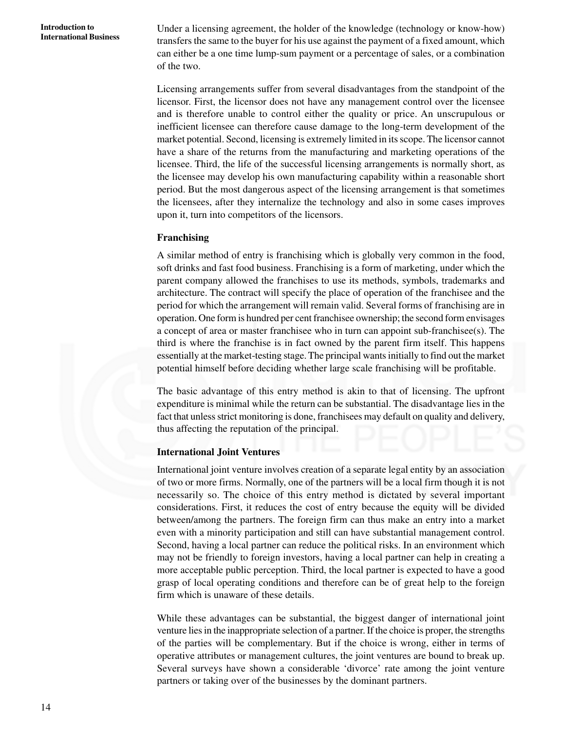Under a licensing agreement, the holder of the knowledge (technology or know-how) transfers the same to the buyer for his use against the payment of a fixed amount, which can either be a one time lump-sum payment or a percentage of sales, or a combination of the two.

Licensing arrangements suffer from several disadvantages from the standpoint of the licensor. First, the licensor does not have any management control over the licensee and is therefore unable to control either the quality or price. An unscrupulous or inefficient licensee can therefore cause damage to the long-term development of the market potential. Second, licensing is extremely limited in its scope. The licensor cannot have a share of the returns from the manufacturing and marketing operations of the licensee. Third, the life of the successful licensing arrangements is normally short, as the licensee may develop his own manufacturing capability within a reasonable short period. But the most dangerous aspect of the licensing arrangement is that sometimes the licensees, after they internalize the technology and also in some cases improves upon it, turn into competitors of the licensors.

### **Franchising**

A similar method of entry is franchising which is globally very common in the food, soft drinks and fast food business. Franchising is a form of marketing, under which the parent company allowed the franchises to use its methods, symbols, trademarks and architecture. The contract will specify the place of operation of the franchisee and the period for which the arrangement will remain valid. Several forms of franchising are in operation. One form is hundred per cent franchisee ownership; the second form envisages a concept of area or master franchisee who in turn can appoint sub-franchisee(s). The third is where the franchise is in fact owned by the parent firm itself. This happens essentially at the market-testing stage. The principal wants initially to find out the market potential himself before deciding whether large scale franchising will be profitable.

The basic advantage of this entry method is akin to that of licensing. The upfront expenditure is minimal while the return can be substantial. The disadvantage lies in the fact that unless strict monitoring is done, franchisees may default on quality and delivery, thus affecting the reputation of the principal.

#### **International Joint Ventures**

International joint venture involves creation of a separate legal entity by an association of two or more firms. Normally, one of the partners will be a local firm though it is not necessarily so. The choice of this entry method is dictated by several important considerations. First, it reduces the cost of entry because the equity will be divided between/among the partners. The foreign firm can thus make an entry into a market even with a minority participation and still can have substantial management control. Second, having a local partner can reduce the political risks. In an environment which may not be friendly to foreign investors, having a local partner can help in creating a more acceptable public perception. Third, the local partner is expected to have a good grasp of local operating conditions and therefore can be of great help to the foreign firm which is unaware of these details.

While these advantages can be substantial, the biggest danger of international joint venture lies in the inappropriate selection of a partner. If the choice is proper, the strengths of the parties will be complementary. But if the choice is wrong, either in terms of operative attributes or management cultures, the joint ventures are bound to break up. Several surveys have shown a considerable 'divorce' rate among the joint venture partners or taking over of the businesses by the dominant partners.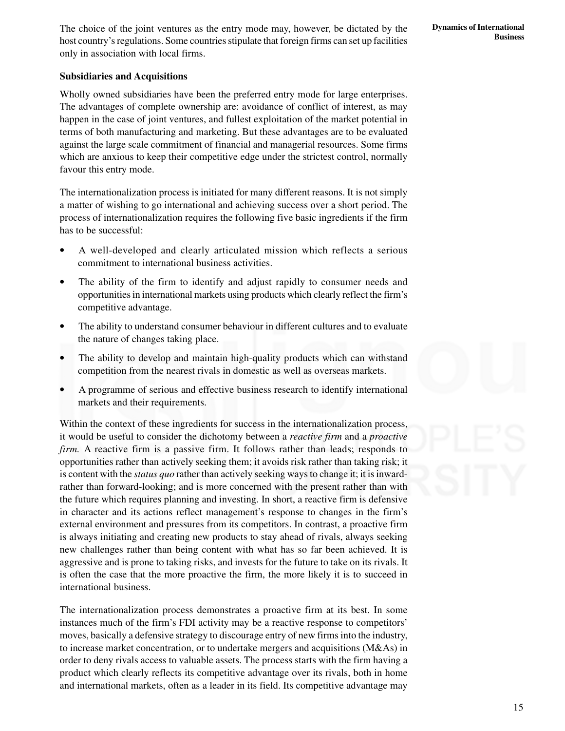The choice of the joint ventures as the entry mode may, however, be dictated by the host country's regulations. Some countries stipulate that foreign firms can set up facilities only in association with local firms.

### **Subsidiaries and Acquisitions**

Wholly owned subsidiaries have been the preferred entry mode for large enterprises. The advantages of complete ownership are: avoidance of conflict of interest, as may happen in the case of joint ventures, and fullest exploitation of the market potential in terms of both manufacturing and marketing. But these advantages are to be evaluated against the large scale commitment of financial and managerial resources. Some firms which are anxious to keep their competitive edge under the strictest control, normally favour this entry mode.

The internationalization process is initiated for many different reasons. It is not simply a matter of wishing to go international and achieving success over a short period. The process of internationalization requires the following five basic ingredients if the firm has to be successful:

- A well-developed and clearly articulated mission which reflects a serious commitment to international business activities.
- The ability of the firm to identify and adjust rapidly to consumer needs and opportunities in international markets using products which clearly reflect the firm's competitive advantage.
- The ability to understand consumer behaviour in different cultures and to evaluate the nature of changes taking place.
- The ability to develop and maintain high-quality products which can withstand competition from the nearest rivals in domestic as well as overseas markets.
- A programme of serious and effective business research to identify international markets and their requirements.

Within the context of these ingredients for success in the internationalization process, it would be useful to consider the dichotomy between a *reactive firm* and a *proactive firm.* A reactive firm is a passive firm. It follows rather than leads; responds to opportunities rather than actively seeking them; it avoids risk rather than taking risk; it is content with the *status quo* rather than actively seeking ways to change it; it is inwardrather than forward-looking; and is more concerned with the present rather than with the future which requires planning and investing. In short, a reactive firm is defensive in character and its actions reflect management's response to changes in the firm's external environment and pressures from its competitors. In contrast, a proactive firm is always initiating and creating new products to stay ahead of rivals, always seeking new challenges rather than being content with what has so far been achieved. It is aggressive and is prone to taking risks, and invests for the future to take on its rivals. It is often the case that the more proactive the firm, the more likely it is to succeed in international business.

The internationalization process demonstrates a proactive firm at its best. In some instances much of the firm's FDI activity may be a reactive response to competitors' moves, basically a defensive strategy to discourage entry of new firms into the industry, to increase market concentration, or to undertake mergers and acquisitions  $(M&As)$  in order to deny rivals access to valuable assets. The process starts with the firm having a product which clearly reflects its competitive advantage over its rivals, both in home and international markets, often as a leader in its field. Its competitive advantage may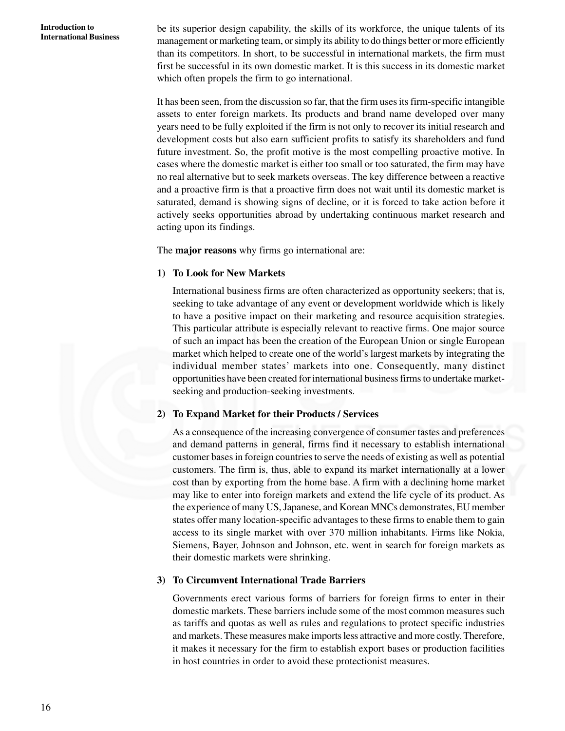be its superior design capability, the skills of its workforce, the unique talents of its management or marketing team, or simply its ability to do things better or more efficiently than its competitors. In short, to be successful in international markets, the firm must first be successful in its own domestic market. It is this success in its domestic market which often propels the firm to go international.

It has been seen, from the discussion so far, that the firm uses its firm-specific intangible assets to enter foreign markets. Its products and brand name developed over many years need to be fully exploited if the firm is not only to recover its initial research and development costs but also earn sufficient profits to satisfy its shareholders and fund future investment. So, the profit motive is the most compelling proactive motive. In cases where the domestic market is either too small or too saturated, the firm may have no real alternative but to seek markets overseas. The key difference between a reactive and a proactive firm is that a proactive firm does not wait until its domestic market is saturated, demand is showing signs of decline, or it is forced to take action before it actively seeks opportunities abroad by undertaking continuous market research and acting upon its findings.

The **major reasons** why firms go international are:

#### **1) To Look for New Markets**

International business firms are often characterized as opportunity seekers; that is, seeking to take advantage of any event or development worldwide which is likely to have a positive impact on their marketing and resource acquisition strategies. This particular attribute is especially relevant to reactive firms. One major source of such an impact has been the creation of the European Union or single European market which helped to create one of the world's largest markets by integrating the individual member states' markets into one. Consequently, many distinct opportunities have been created for international business firms to undertake marketseeking and production-seeking investments.

### **2) To Expand Market for their Products / Services**

As a consequence of the increasing convergence of consumer tastes and preferences and demand patterns in general, firms find it necessary to establish international customer bases in foreign countries to serve the needs of existing as well as potential customers. The firm is, thus, able to expand its market internationally at a lower cost than by exporting from the home base. A firm with a declining home market may like to enter into foreign markets and extend the life cycle of its product. As the experience of many US, Japanese, and Korean MNCs demonstrates, EU member states offer many location-specific advantages to these firms to enable them to gain access to its single market with over 370 million inhabitants. Firms like Nokia, Siemens, Bayer, Johnson and Johnson, etc. went in search for foreign markets as their domestic markets were shrinking.

#### **3) To Circumvent International Trade Barriers**

Governments erect various forms of barriers for foreign firms to enter in their domestic markets. These barriers include some of the most common measures such as tariffs and quotas as well as rules and regulations to protect specific industries and markets. These measures make imports less attractive and more costly. Therefore, it makes it necessary for the firm to establish export bases or production facilities in host countries in order to avoid these protectionist measures.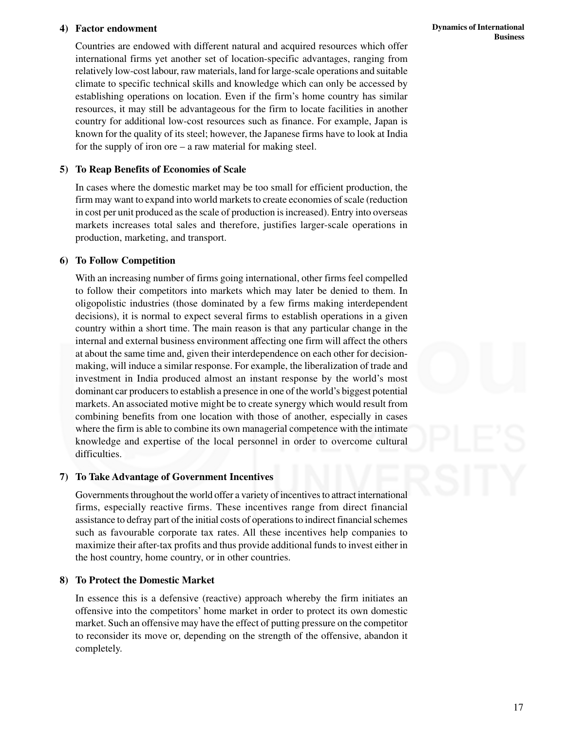#### **4) Factor endowment**

Countries are endowed with different natural and acquired resources which offer international firms yet another set of location-specific advantages, ranging from relatively low-cost labour, raw materials, land for large-scale operations and suitable climate to specific technical skills and knowledge which can only be accessed by establishing operations on location. Even if the firm's home country has similar resources, it may still be advantageous for the firm to locate facilities in another country for additional low-cost resources such as finance. For example, Japan is known for the quality of its steel; however, the Japanese firms have to look at India for the supply of iron ore – a raw material for making steel.

### **5) To Reap Benefits of Economies of Scale**

In cases where the domestic market may be too small for efficient production, the firm may want to expand into world markets to create economies of scale (reduction in cost per unit produced as the scale of production is increased). Entry into overseas markets increases total sales and therefore, justifies larger-scale operations in production, marketing, and transport.

### **6) To Follow Competition**

With an increasing number of firms going international, other firms feel compelled to follow their competitors into markets which may later be denied to them. In oligopolistic industries (those dominated by a few firms making interdependent decisions), it is normal to expect several firms to establish operations in a given country within a short time. The main reason is that any particular change in the internal and external business environment affecting one firm will affect the others at about the same time and, given their interdependence on each other for decisionmaking, will induce a similar response. For example, the liberalization of trade and investment in India produced almost an instant response by the world's most dominant car producers to establish a presence in one of the world's biggest potential markets. An associated motive might be to create synergy which would result from combining benefits from one location with those of another, especially in cases where the firm is able to combine its own managerial competence with the intimate knowledge and expertise of the local personnel in order to overcome cultural difficulties.

### **7) To Take Advantage of Government Incentives**

Governments throughout the world offer a variety of incentives to attract international firms, especially reactive firms. These incentives range from direct financial assistance to defray part of the initial costs of operations to indirect financial schemes such as favourable corporate tax rates. All these incentives help companies to maximize their after-tax profits and thus provide additional funds to invest either in the host country, home country, or in other countries.

#### **8) To Protect the Domestic Market**

In essence this is a defensive (reactive) approach whereby the firm initiates an offensive into the competitors' home market in order to protect its own domestic market. Such an offensive may have the effect of putting pressure on the competitor to reconsider its move or, depending on the strength of the offensive, abandon it completely.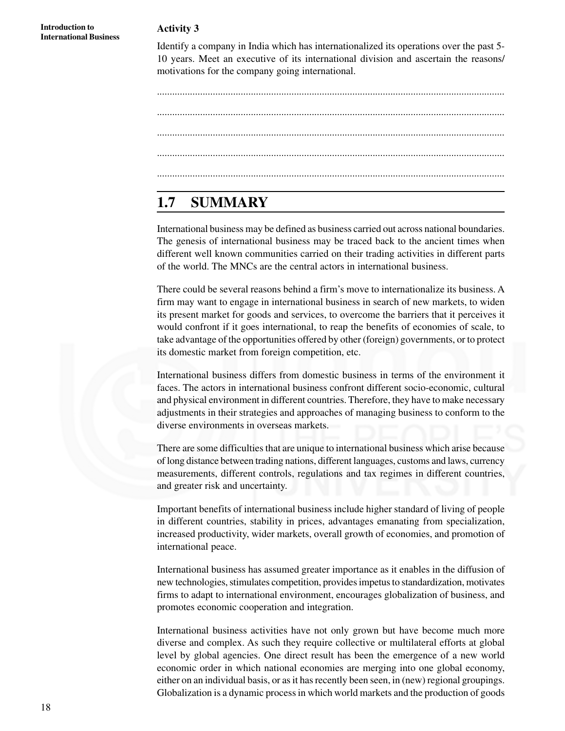#### **Introduction to International Business**

### **Activity 3**

Identify a company in India which has internationalized its operations over the past 5- 10 years. Meet an executive of its international division and ascertain the reasons/ motivations for the company going international.

# **1.7 SUMMARY**

International business may be defined as business carried out across national boundaries. The genesis of international business may be traced back to the ancient times when different well known communities carried on their trading activities in different parts of the world. The MNCs are the central actors in international business.

There could be several reasons behind a firm's move to internationalize its business. A firm may want to engage in international business in search of new markets, to widen its present market for goods and services, to overcome the barriers that it perceives it would confront if it goes international, to reap the benefits of economies of scale, to take advantage of the opportunities offered by other (foreign) governments, or to protect its domestic market from foreign competition, etc.

International business differs from domestic business in terms of the environment it faces. The actors in international business confront different socio-economic, cultural and physical environment in different countries. Therefore, they have to make necessary adjustments in their strategies and approaches of managing business to conform to the diverse environments in overseas markets.

There are some difficulties that are unique to international business which arise because of long distance between trading nations, different languages, customs and laws, currency measurements, different controls, regulations and tax regimes in different countries, and greater risk and uncertainty.

Important benefits of international business include higher standard of living of people in different countries, stability in prices, advantages emanating from specialization, increased productivity, wider markets, overall growth of economies, and promotion of international peace.

International business has assumed greater importance as it enables in the diffusion of new technologies, stimulates competition, provides impetus to standardization, motivates firms to adapt to international environment, encourages globalization of business, and promotes economic cooperation and integration.

International business activities have not only grown but have become much more diverse and complex. As such they require collective or multilateral efforts at global level by global agencies. One direct result has been the emergence of a new world economic order in which national economies are merging into one global economy, either on an individual basis, or as it has recently been seen, in (new) regional groupings. Globalization is a dynamic process in which world markets and the production of goods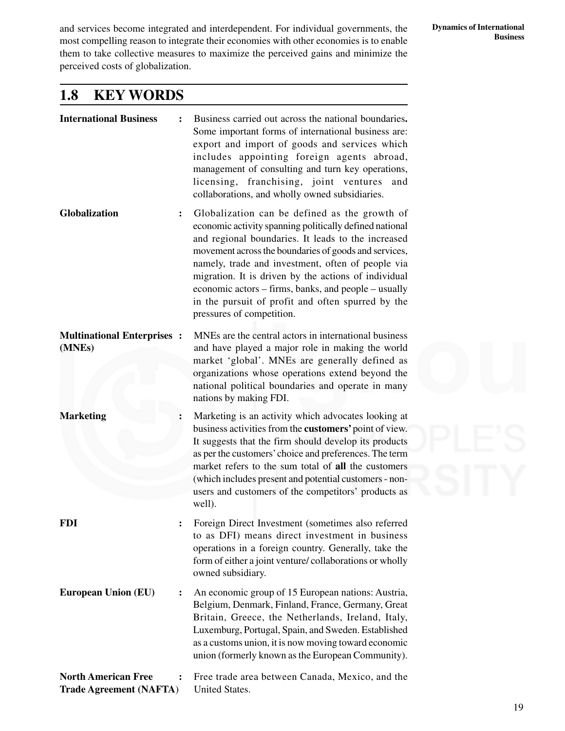**Dynamics of International Business**

and services become integrated and interdependent. For individual governments, the most compelling reason to integrate their economies with other economies is to enable them to take collective measures to maximize the perceived gains and minimize the perceived costs of globalization.

# **1.8 KEY WORDS**

| <b>International Business</b>                                |                | Business carried out across the national boundaries.<br>Some important forms of international business are:<br>export and import of goods and services which<br>includes appointing foreign agents abroad,<br>management of consulting and turn key operations,<br>licensing, franchising, joint ventures and<br>collaborations, and wholly owned subsidiaries.                                                                                                                |
|--------------------------------------------------------------|----------------|--------------------------------------------------------------------------------------------------------------------------------------------------------------------------------------------------------------------------------------------------------------------------------------------------------------------------------------------------------------------------------------------------------------------------------------------------------------------------------|
| Globalization                                                | $\ddot{\cdot}$ | Globalization can be defined as the growth of<br>economic activity spanning politically defined national<br>and regional boundaries. It leads to the increased<br>movement across the boundaries of goods and services,<br>namely, trade and investment, often of people via<br>migration. It is driven by the actions of individual<br>economic actors – firms, banks, and people – usually<br>in the pursuit of profit and often spurred by the<br>pressures of competition. |
| <b>Multinational Enterprises:</b><br>(MNEs)                  |                | MNEs are the central actors in international business<br>and have played a major role in making the world<br>market 'global'. MNEs are generally defined as<br>organizations whose operations extend beyond the<br>national political boundaries and operate in many<br>nations by making FDI.                                                                                                                                                                                 |
| <b>Marketing</b>                                             |                | Marketing is an activity which advocates looking at<br>business activities from the customers' point of view.<br>It suggests that the firm should develop its products<br>as per the customers' choice and preferences. The term<br>market refers to the sum total of all the customers<br>(which includes present and potential customers - non-<br>users and customers of the competitors' products as<br>well).                                                             |
| FDI                                                          |                | Foreign Direct Investment (sometimes also referred<br>to as DFI) means direct investment in business<br>operations in a foreign country. Generally, take the<br>form of either a joint venture/collaborations or wholly<br>owned subsidiary.                                                                                                                                                                                                                                   |
| <b>European Union (EU)</b>                                   | $\ddot{\cdot}$ | An economic group of 15 European nations: Austria,<br>Belgium, Denmark, Finland, France, Germany, Great<br>Britain, Greece, the Netherlands, Ireland, Italy,<br>Luxemburg, Portugal, Spain, and Sweden. Established<br>as a customs union, it is now moving toward economic<br>union (formerly known as the European Community).                                                                                                                                               |
| <b>North American Free</b><br><b>Trade Agreement (NAFTA)</b> |                | Free trade area between Canada, Mexico, and the<br>United States.                                                                                                                                                                                                                                                                                                                                                                                                              |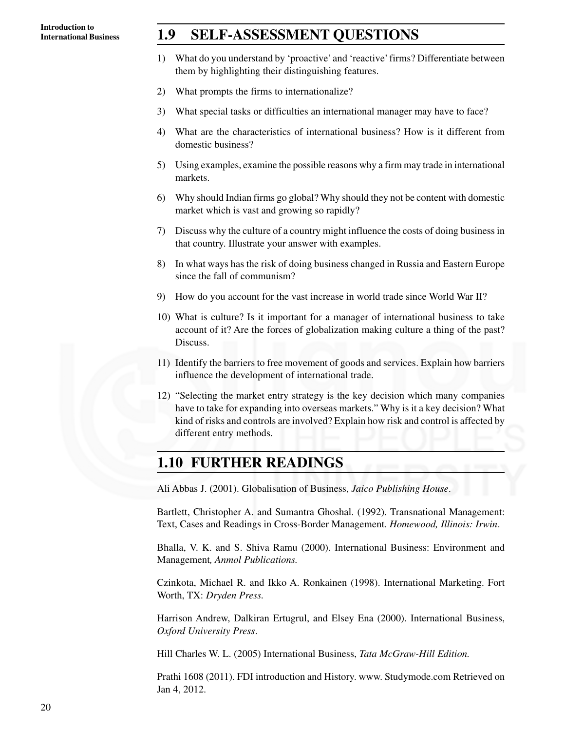### **International Business 1.9 SELF-ASSESSMENT QUESTIONS**

- 1) What do you understand by 'proactive' and 'reactive' firms? Differentiate between them by highlighting their distinguishing features.
- 2) What prompts the firms to internationalize?
- 3) What special tasks or difficulties an international manager may have to face?
- 4) What are the characteristics of international business? How is it different from domestic business?
- 5) Using examples, examine the possible reasons why a firm may trade in international markets.
- 6) Why should Indian firms go global? Why should they not be content with domestic market which is vast and growing so rapidly?
- 7) Discuss why the culture of a country might influence the costs of doing business in that country. Illustrate your answer with examples.
- 8) In what ways has the risk of doing business changed in Russia and Eastern Europe since the fall of communism?
- 9) How do you account for the vast increase in world trade since World War II?
- 10) What is culture? Is it important for a manager of international business to take account of it? Are the forces of globalization making culture a thing of the past? Discuss.
- 11) Identify the barriers to free movement of goods and services. Explain how barriers influence the development of international trade.
- 12) "Selecting the market entry strategy is the key decision which many companies have to take for expanding into overseas markets." Why is it a key decision? What kind of risks and controls are involved? Explain how risk and control is affected by different entry methods.

### **1.10 FURTHER READINGS**

Ali Abbas J. (2001). Globalisation of Business, *Jaico Publishing House*.

Bartlett, Christopher A. and Sumantra Ghoshal. (1992). Transnational Management: Text, Cases and Readings in Cross-Border Management. *Homewood, Illinois: Irwin*.

Bhalla, V. K. and S. Shiva Ramu (2000). International Business: Environment and Management*, Anmol Publications.*

Czinkota, Michael R. and Ikko A. Ronkainen (1998). International Marketing. Fort Worth, TX: *Dryden Press.*

Harrison Andrew, Dalkiran Ertugrul, and Elsey Ena (2000). International Business, *Oxford University Press*.

Hill Charles W. L. (2005) International Business, *Tata McGraw-Hill Edition.*

Prathi 1608 (2011). FDI introduction and History. www. Studymode.com Retrieved on Jan 4, 2012.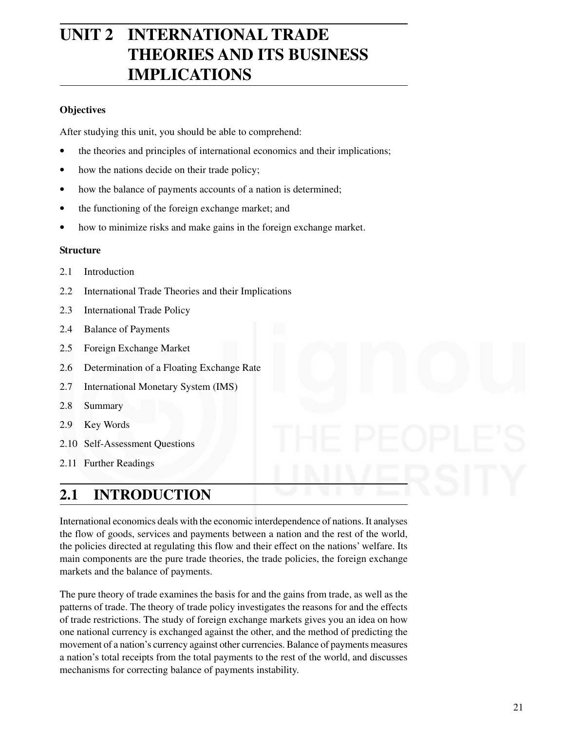# **DINIT 2 INTERNATIONAL TRADE THEORIES AND ITS BUSINESS IMPLICATIONS**

### **Objectives**

After studying this unit, you should be able to comprehend:

- the theories and principles of international economics and their implications;
- how the nations decide on their trade policy;
- how the balance of payments accounts of a nation is determined;
- the functioning of the foreign exchange market; and
- how to minimize risks and make gains in the foreign exchange market.

### **Structure**

- 2.1 Introduction
- 2.2 International Trade Theories and their Implications
- 2.3 International Trade Policy
- 2.4 Balance of Payments
- 2.5 Foreign Exchange Market
- 2.6 Determination of a Floating Exchange Rate
- 2.7 International Monetary System (IMS)
- 2.8 Summary
- 2.9 Key Words
- 2.10 Self-Assessment Questions
- 2.11 Further Readings

### **2.1 INTRODUCTION**

International economics deals with the economic interdependence of nations. It analyses the flow of goods, services and payments between a nation and the rest of the world, the policies directed at regulating this flow and their effect on the nations' welfare. Its main components are the pure trade theories, the trade policies, the foreign exchange markets and the balance of payments.

The pure theory of trade examines the basis for and the gains from trade, as well as the patterns of trade. The theory of trade policy investigates the reasons for and the effects of trade restrictions. The study of foreign exchange markets gives you an idea on how one national currency is exchanged against the other, and the method of predicting the movement of a nation's currency against other currencies. Balance of payments measures a nation's total receipts from the total payments to the rest of the world, and discusses mechanisms for correcting balance of payments instability.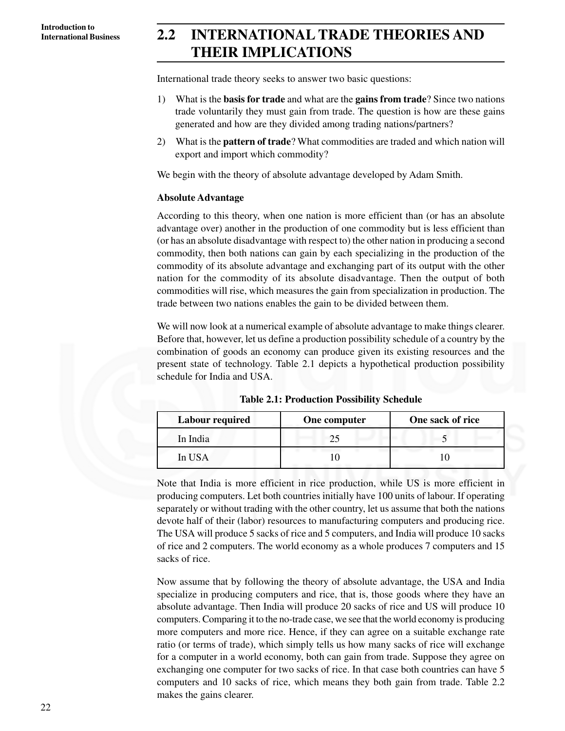# **International Business 2.2 INTERNATIONAL TRADE THEORIES AND THEIR IMPLICATIONS**

International trade theory seeks to answer two basic questions:

- 1) What is the **basis for trade** and what are the **gains from trade**? Since two nations trade voluntarily they must gain from trade. The question is how are these gains generated and how are they divided among trading nations/partners?
- 2) What is the **pattern of trade**? What commodities are traded and which nation will export and import which commodity?

We begin with the theory of absolute advantage developed by Adam Smith.

### **Absolute Advantage**

According to this theory, when one nation is more efficient than (or has an absolute advantage over) another in the production of one commodity but is less efficient than (or has an absolute disadvantage with respect to) the other nation in producing a second commodity, then both nations can gain by each specializing in the production of the commodity of its absolute advantage and exchanging part of its output with the other nation for the commodity of its absolute disadvantage. Then the output of both commodities will rise, which measures the gain from specialization in production. The trade between two nations enables the gain to be divided between them.

We will now look at a numerical example of absolute advantage to make things clearer. Before that, however, let us define a production possibility schedule of a country by the combination of goods an economy can produce given its existing resources and the present state of technology. Table 2.1 depicts a hypothetical production possibility schedule for India and USA.

| <b>Labour required</b> | One computer | One sack of rice |
|------------------------|--------------|------------------|
| In India               |              |                  |
| In USA                 |              |                  |

**Table 2.1: Production Possibility Schedule**

Note that India is more efficient in rice production, while US is more efficient in producing computers. Let both countries initially have 100 units of labour. If operating separately or without trading with the other country, let us assume that both the nations devote half of their (labor) resources to manufacturing computers and producing rice. The USA will produce 5 sacks of rice and 5 computers, and India will produce 10 sacks of rice and 2 computers. The world economy as a whole produces 7 computers and 15 sacks of rice.

Now assume that by following the theory of absolute advantage, the USA and India specialize in producing computers and rice, that is, those goods where they have an absolute advantage. Then India will produce 20 sacks of rice and US will produce 10 computers. Comparing it to the no-trade case, we see that the world economy is producing more computers and more rice. Hence, if they can agree on a suitable exchange rate ratio (or terms of trade), which simply tells us how many sacks of rice will exchange for a computer in a world economy, both can gain from trade. Suppose they agree on exchanging one computer for two sacks of rice. In that case both countries can have 5 computers and 10 sacks of rice, which means they both gain from trade. Table 2.2 makes the gains clearer.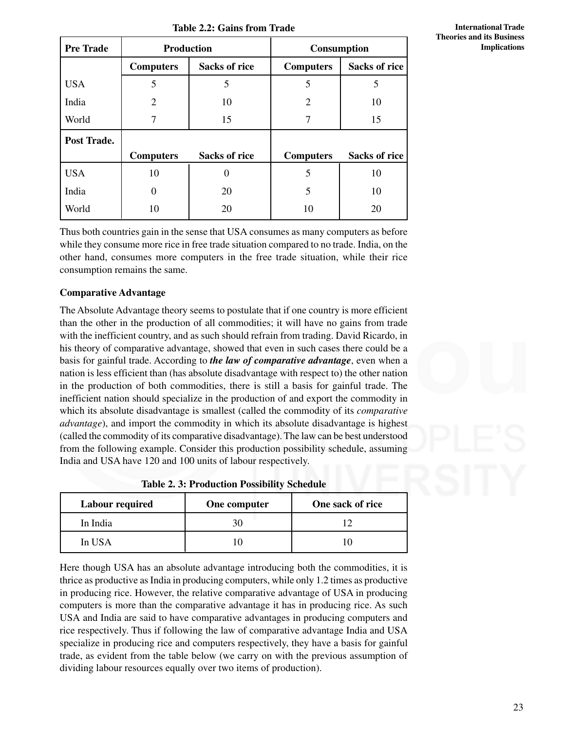| <b>Table 2.2: Gains from Trade</b> |
|------------------------------------|
|------------------------------------|

**International Trade Theories and its Business Implications**

| <b>Pre Trade</b> |                  | <b>Production</b>    | <b>Consumption</b> |                      |  |
|------------------|------------------|----------------------|--------------------|----------------------|--|
|                  | <b>Computers</b> | <b>Sacks of rice</b> | <b>Computers</b>   | <b>Sacks of rice</b> |  |
| <b>USA</b>       | 5                | 5                    | 5                  | 5                    |  |
| India            | $\overline{2}$   | 10                   | 2                  | 10                   |  |
| World            | 7                | 15                   | 7                  | 15                   |  |
| Post Trade.      |                  |                      |                    |                      |  |
|                  | <b>Computers</b> | <b>Sacks of rice</b> | <b>Computers</b>   | <b>Sacks of rice</b> |  |
| <b>USA</b>       | 10               | 0                    | 5                  | 10                   |  |
| India            | 0                | 20                   | 5                  | 10                   |  |
| World            | 10               | 20                   | 10                 | 20                   |  |

Thus both countries gain in the sense that USA consumes as many computers as before while they consume more rice in free trade situation compared to no trade. India, on the other hand, consumes more computers in the free trade situation, while their rice consumption remains the same.

### **Comparative Advantage**

The Absolute Advantage theory seems to postulate that if one country is more efficient than the other in the production of all commodities; it will have no gains from trade with the inefficient country, and as such should refrain from trading. David Ricardo, in his theory of comparative advantage, showed that even in such cases there could be a basis for gainful trade. According to *the law of comparative advantage*, even when a nation is less efficient than (has absolute disadvantage with respect to) the other nation in the production of both commodities, there is still a basis for gainful trade. The inefficient nation should specialize in the production of and export the commodity in which its absolute disadvantage is smallest (called the commodity of its *comparative advantage*), and import the commodity in which its absolute disadvantage is highest (called the commodity of its comparative disadvantage). The law can be best understood from the following example. Consider this production possibility schedule, assuming India and USA have 120 and 100 units of labour respectively.

| <b>Labour required</b> | One computer | One sack of rice |  |  |
|------------------------|--------------|------------------|--|--|
| In India               |              |                  |  |  |
| In USA                 |              |                  |  |  |

**Table 2. 3: Production Possibility Schedule**

Here though USA has an absolute advantage introducing both the commodities, it is thrice as productive as India in producing computers, while only 1.2 times as productive in producing rice. However, the relative comparative advantage of USA in producing computers is more than the comparative advantage it has in producing rice. As such USA and India are said to have comparative advantages in producing computers and rice respectively. Thus if following the law of comparative advantage India and USA specialize in producing rice and computers respectively, they have a basis for gainful trade, as evident from the table below (we carry on with the previous assumption of dividing labour resources equally over two items of production).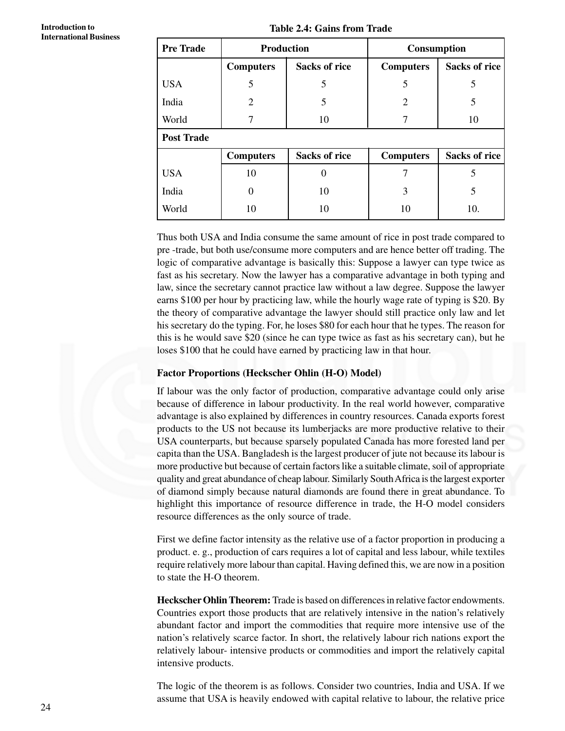#### **Table 2.4: Gains from Trade**

| <b>Pre Trade</b>  | <b>Production</b> |                      | <b>Consumption</b> |                      |  |  |  |
|-------------------|-------------------|----------------------|--------------------|----------------------|--|--|--|
|                   | <b>Computers</b>  | <b>Sacks of rice</b> | <b>Computers</b>   | <b>Sacks of rice</b> |  |  |  |
| <b>USA</b>        | 5                 | 5                    | 5                  | 5                    |  |  |  |
| India             | $\overline{2}$    | 5                    | $\overline{2}$     | 5                    |  |  |  |
| World             | 7                 | 10                   | 7                  | 10                   |  |  |  |
| <b>Post Trade</b> |                   |                      |                    |                      |  |  |  |
|                   | <b>Computers</b>  | <b>Sacks of rice</b> | <b>Computers</b>   | <b>Sacks of rice</b> |  |  |  |
| <b>USA</b>        | 10                | 0                    |                    | 5                    |  |  |  |
| India             | 0                 | 10                   | 3                  | 5                    |  |  |  |
| World             | 10                | 10                   | 10                 | 10.                  |  |  |  |

Thus both USA and India consume the same amount of rice in post trade compared to pre -trade, but both use/consume more computers and are hence better off trading. The logic of comparative advantage is basically this: Suppose a lawyer can type twice as fast as his secretary. Now the lawyer has a comparative advantage in both typing and law, since the secretary cannot practice law without a law degree. Suppose the lawyer earns \$100 per hour by practicing law, while the hourly wage rate of typing is \$20. By the theory of comparative advantage the lawyer should still practice only law and let his secretary do the typing. For, he loses \$80 for each hour that he types. The reason for this is he would save \$20 (since he can type twice as fast as his secretary can), but he loses \$100 that he could have earned by practicing law in that hour.

### **Factor Proportions (Heckscher Ohlin (H-O) Model)**

If labour was the only factor of production, comparative advantage could only arise because of difference in labour productivity. In the real world however, comparative advantage is also explained by differences in country resources. Canada exports forest products to the US not because its lumberjacks are more productive relative to their USA counterparts, but because sparsely populated Canada has more forested land per capita than the USA. Bangladesh is the largest producer of jute not because its labour is more productive but because of certain factors like a suitable climate, soil of appropriate quality and great abundance of cheap labour. Similarly South Africa is the largest exporter of diamond simply because natural diamonds are found there in great abundance. To highlight this importance of resource difference in trade, the H-O model considers resource differences as the only source of trade.

First we define factor intensity as the relative use of a factor proportion in producing a product. e. g., production of cars requires a lot of capital and less labour, while textiles require relatively more labour than capital. Having defined this, we are now in a position to state the H-O theorem.

**Heckscher Ohlin Theorem:** Trade is based on differences in relative factor endowments. Countries export those products that are relatively intensive in the nation's relatively abundant factor and import the commodities that require more intensive use of the nation's relatively scarce factor. In short, the relatively labour rich nations export the relatively labour- intensive products or commodities and import the relatively capital intensive products.

The logic of the theorem is as follows. Consider two countries, India and USA. If we assume that USA is heavily endowed with capital relative to labour, the relative price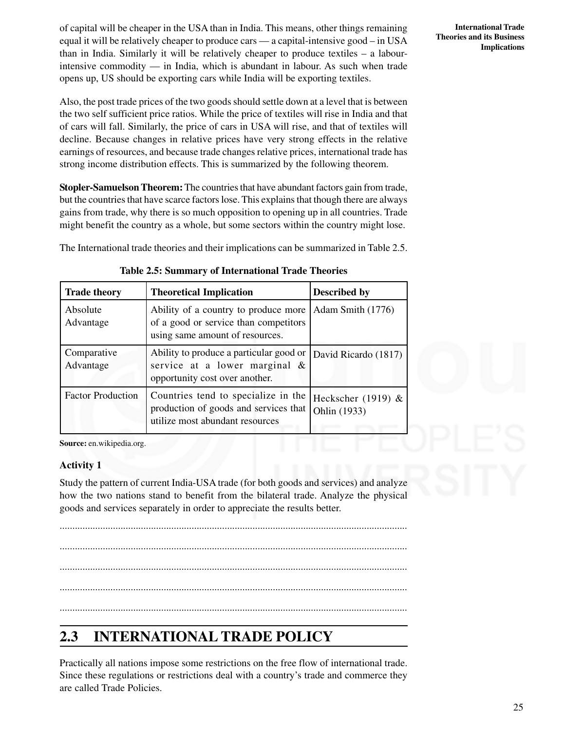of capital will be cheaper in the USA than in India. This means, other things remaining equal it will be relatively cheaper to produce cars — a capital-intensive good – in USA than in India. Similarly it will be relatively cheaper to produce textiles – a labourintensive commodity — in India, which is abundant in labour. As such when trade opens up, US should be exporting cars while India will be exporting textiles.

Also, the post trade prices of the two goods should settle down at a level that is between the two self sufficient price ratios. While the price of textiles will rise in India and that of cars will fall. Similarly, the price of cars in USA will rise, and that of textiles will decline. Because changes in relative prices have very strong effects in the relative earnings of resources, and because trade changes relative prices, international trade has strong income distribution effects. This is summarized by the following theorem.

**Stopler-Samuelson Theorem:**The countries that have abundant factors gain from trade, but the countries that have scarce factors lose. This explains that though there are always gains from trade, why there is so much opposition to opening up in all countries. Trade might benefit the country as a whole, but some sectors within the country might lose.

The International trade theories and their implications can be summarized in Table 2.5.

| <b>Trade theory</b>                                                                                                                         | <b>Theoretical Implication</b>                                                                                   | <b>Described by</b>                  |
|---------------------------------------------------------------------------------------------------------------------------------------------|------------------------------------------------------------------------------------------------------------------|--------------------------------------|
| Absolute<br>Advantage                                                                                                                       | Ability of a country to produce more<br>of a good or service than competitors<br>using same amount of resources. | Adam Smith (1776)                    |
| Comparative<br>Advantage                                                                                                                    | Ability to produce a particular good or<br>service at a lower marginal $\&$<br>opportunity cost over another.    | David Ricardo (1817)                 |
| <b>Factor Production</b><br>Countries tend to specialize in the<br>production of goods and services that<br>utilize most abundant resources |                                                                                                                  | Heckscher (1919) $&$<br>Ohlin (1933) |

**Table 2.5: Summary of International Trade Theories**

**Source:** en.wikipedia.org.

### **Activity 1**

Study the pattern of current India-USA trade (for both goods and services) and analyze how the two nations stand to benefit from the bilateral trade. Analyze the physical goods and services separately in order to appreciate the results better.

......................................................................................................................................... ......................................................................................................................................... ......................................................................................................................................... ......................................................................................................................................... .........................................................................................................................................

# **2.3 INTERNATIONAL TRADE POLICY**

Practically all nations impose some restrictions on the free flow of international trade. Since these regulations or restrictions deal with a country's trade and commerce they are called Trade Policies.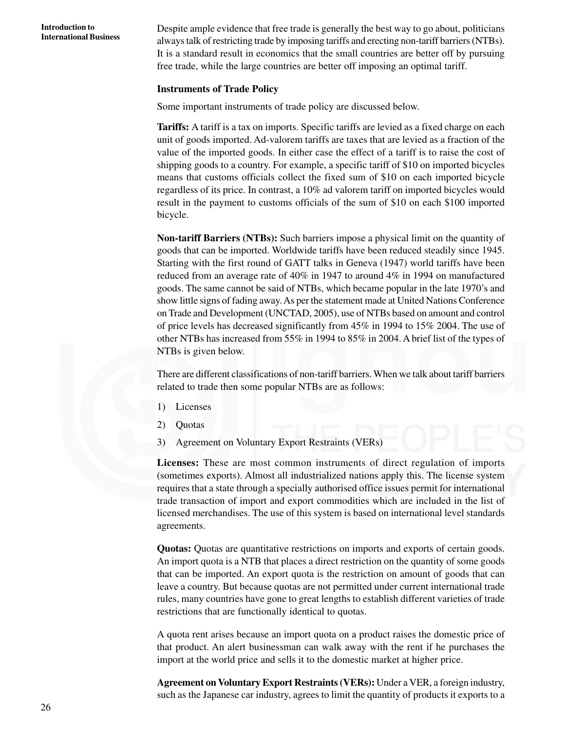Despite ample evidence that free trade is generally the best way to go about, politicians always talk of restricting trade by imposing tariffs and erecting non-tariff barriers (NTBs). It is a standard result in economics that the small countries are better off by pursuing free trade, while the large countries are better off imposing an optimal tariff.

#### **Instruments of Trade Policy**

Some important instruments of trade policy are discussed below.

**Tariffs:** A tariff is a tax on imports. Specific tariffs are levied as a fixed charge on each unit of goods imported. Ad-valorem tariffs are taxes that are levied as a fraction of the value of the imported goods. In either case the effect of a tariff is to raise the cost of shipping goods to a country. For example, a specific tariff of \$10 on imported bicycles means that customs officials collect the fixed sum of \$10 on each imported bicycle regardless of its price. In contrast, a 10% ad valorem tariff on imported bicycles would result in the payment to customs officials of the sum of \$10 on each \$100 imported bicycle.

**Non-tariff Barriers (NTBs):** Such barriers impose a physical limit on the quantity of goods that can be imported. Worldwide tariffs have been reduced steadily since 1945. Starting with the first round of GATT talks in Geneva (1947) world tariffs have been reduced from an average rate of 40% in 1947 to around 4% in 1994 on manufactured goods. The same cannot be said of NTBs, which became popular in the late 1970's and show little signs of fading away. As per the statement made at United Nations Conference on Trade and Development (UNCTAD, 2005), use of NTBs based on amount and control of price levels has decreased significantly from 45% in 1994 to 15% 2004. The use of other NTBs has increased from 55% in 1994 to 85% in 2004. A brief list of the types of NTBs is given below.

There are different classifications of non-tariff barriers. When we talk about tariff barriers related to trade then some popular NTBs are as follows:

- 1) Licenses
- 2) Quotas
- 3) Agreement on Voluntary Export Restraints (VERs)

**Licenses:** These are most common instruments of direct regulation of imports (sometimes exports). Almost all industrialized nations apply this. The license system requires that a state through a specially authorised office issues permit for international trade transaction of import and export commodities which are included in the list of licensed merchandises. The use of this system is based on international level standards agreements.

**Quotas:** Quotas are quantitative restrictions on imports and exports of certain goods. An import quota is a NTB that places a direct restriction on the quantity of some goods that can be imported. An export quota is the restriction on amount of goods that can leave a country. But because quotas are not permitted under current international trade rules, many countries have gone to great lengths to establish different varieties of trade restrictions that are functionally identical to quotas.

A quota rent arises because an import quota on a product raises the domestic price of that product. An alert businessman can walk away with the rent if he purchases the import at the world price and sells it to the domestic market at higher price.

**Agreement on Voluntary Export Restraints (VERs):** Under a VER, a foreign industry, such as the Japanese car industry, agrees to limit the quantity of products it exports to a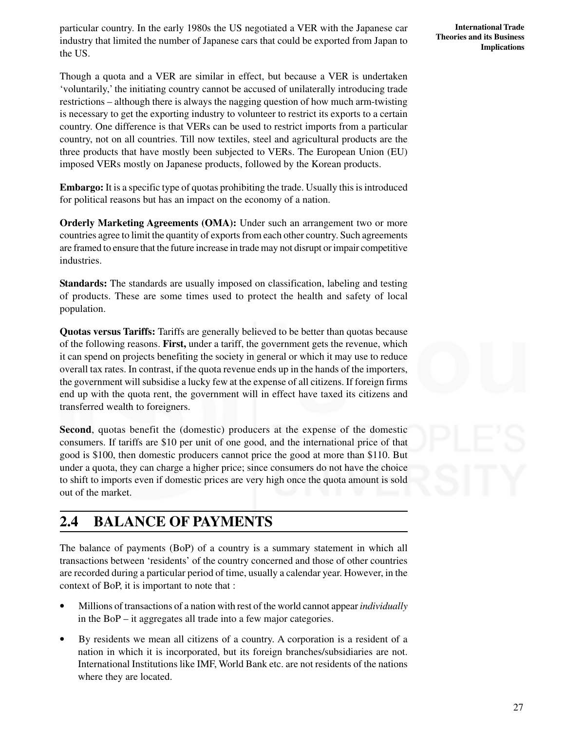particular country. In the early 1980s the US negotiated a VER with the Japanese car industry that limited the number of Japanese cars that could be exported from Japan to the US.

Though a quota and a VER are similar in effect, but because a VER is undertaken 'voluntarily,' the initiating country cannot be accused of unilaterally introducing trade restrictions – although there is always the nagging question of how much arm-twisting is necessary to get the exporting industry to volunteer to restrict its exports to a certain country. One difference is that VERs can be used to restrict imports from a particular country, not on all countries. Till now textiles, steel and agricultural products are the three products that have mostly been subjected to VERs. The European Union (EU) imposed VERs mostly on Japanese products, followed by the Korean products.

**Embargo:** It is a specific type of quotas prohibiting the trade. Usually this is introduced for political reasons but has an impact on the economy of a nation.

**Orderly Marketing Agreements (OMA):** Under such an arrangement two or more countries agree to limit the quantity of exports from each other country. Such agreements are framed to ensure that the future increase in trade may not disrupt or impair competitive industries.

**Standards:** The standards are usually imposed on classification, labeling and testing of products. These are some times used to protect the health and safety of local population.

**Quotas versus Tariffs:** Tariffs are generally believed to be better than quotas because of the following reasons. **First,** under a tariff, the government gets the revenue, which it can spend on projects benefiting the society in general or which it may use to reduce overall tax rates. In contrast, if the quota revenue ends up in the hands of the importers, the government will subsidise a lucky few at the expense of all citizens. If foreign firms end up with the quota rent, the government will in effect have taxed its citizens and transferred wealth to foreigners.

**Second**, quotas benefit the (domestic) producers at the expense of the domestic consumers. If tariffs are \$10 per unit of one good, and the international price of that good is \$100, then domestic producers cannot price the good at more than \$110. But under a quota, they can charge a higher price; since consumers do not have the choice to shift to imports even if domestic prices are very high once the quota amount is sold out of the market.

### **2.4 BALANCE OF PAYMENTS**

The balance of payments (BoP) of a country is a summary statement in which all transactions between 'residents' of the country concerned and those of other countries are recorded during a particular period of time, usually a calendar year. However, in the context of BoP, it is important to note that :

- Millions of transactions of a nation with rest of the world cannot appear *individually* in the BoP – it aggregates all trade into a few major categories.
- By residents we mean all citizens of a country. A corporation is a resident of a nation in which it is incorporated, but its foreign branches/subsidiaries are not. International Institutions like IMF, World Bank etc. are not residents of the nations where they are located.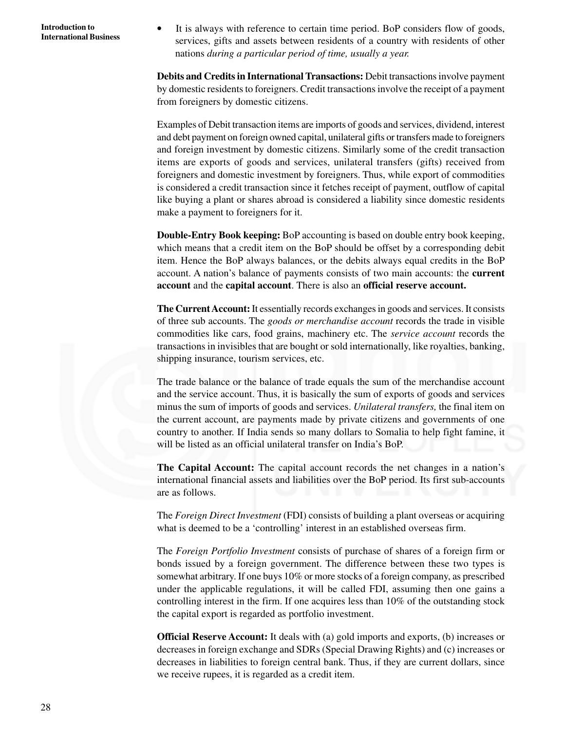It is always with reference to certain time period. BoP considers flow of goods, services, gifts and assets between residents of a country with residents of other nations *during a particular period of time, usually a year.*

**Debits and Credits in International Transactions:** Debit transactions involve payment by domestic residents to foreigners. Credit transactions involve the receipt of a payment from foreigners by domestic citizens.

Examples of Debit transaction items are imports of goods and services, dividend, interest and debt payment on foreign owned capital, unilateral gifts or transfers made to foreigners and foreign investment by domestic citizens. Similarly some of the credit transaction items are exports of goods and services, unilateral transfers (gifts) received from foreigners and domestic investment by foreigners. Thus, while export of commodities is considered a credit transaction since it fetches receipt of payment, outflow of capital like buying a plant or shares abroad is considered a liability since domestic residents make a payment to foreigners for it.

**Double-Entry Book keeping:** BoP accounting is based on double entry book keeping, which means that a credit item on the BoP should be offset by a corresponding debit item. Hence the BoP always balances, or the debits always equal credits in the BoP account. A nation's balance of payments consists of two main accounts: the **current account** and the **capital account**. There is also an **official reserve account.**

**The Current Account:** It essentially records exchanges in goods and services. It consists of three sub accounts. The *goods or merchandise account* records the trade in visible commodities like cars, food grains, machinery etc. The *service account* records the transactions in invisibles that are bought or sold internationally, like royalties, banking, shipping insurance, tourism services, etc.

The trade balance or the balance of trade equals the sum of the merchandise account and the service account. Thus, it is basically the sum of exports of goods and services minus the sum of imports of goods and services. *Unilateral transfers,* the final item on the current account, are payments made by private citizens and governments of one country to another. If India sends so many dollars to Somalia to help fight famine, it will be listed as an official unilateral transfer on India's BoP.

**The Capital Account:** The capital account records the net changes in a nation's international financial assets and liabilities over the BoP period. Its first sub-accounts are as follows.

The *Foreign Direct Investment* (FDI) consists of building a plant overseas or acquiring what is deemed to be a 'controlling' interest in an established overseas firm.

The *Foreign Portfolio Investment* consists of purchase of shares of a foreign firm or bonds issued by a foreign government. The difference between these two types is somewhat arbitrary. If one buys 10% or more stocks of a foreign company, as prescribed under the applicable regulations, it will be called FDI, assuming then one gains a controlling interest in the firm. If one acquires less than 10% of the outstanding stock the capital export is regarded as portfolio investment.

**Official Reserve Account:** It deals with (a) gold imports and exports, (b) increases or decreases in foreign exchange and SDRs (Special Drawing Rights) and (c) increases or decreases in liabilities to foreign central bank. Thus, if they are current dollars, since we receive rupees, it is regarded as a credit item.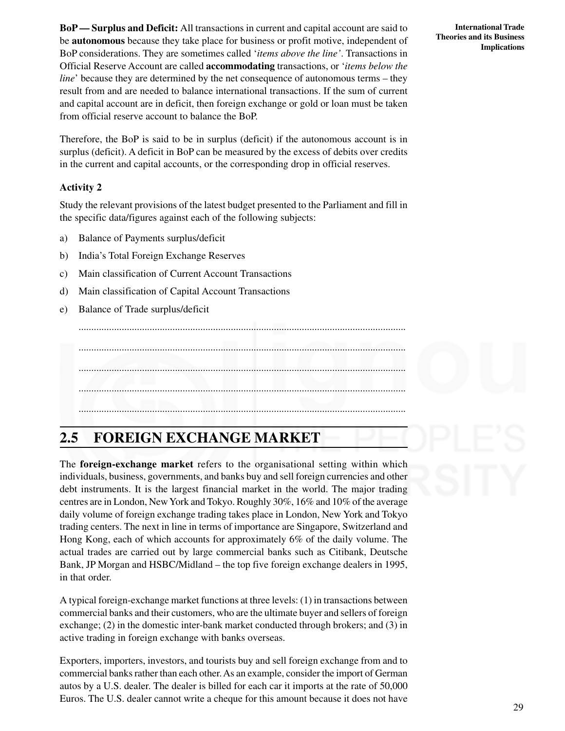**BoP — Surplus and Deficit:** All transactions in current and capital account are said to be **autonomous** because they take place for business or profit motive, independent of BoP considerations. They are sometimes called '*items above the line'*. Transactions in Official Reserve Account are called **accommodating** transactions, or '*items below the line*' because they are determined by the net consequence of autonomous terms – they result from and are needed to balance international transactions. If the sum of current and capital account are in deficit, then foreign exchange or gold or loan must be taken from official reserve account to balance the BoP.

Therefore, the BoP is said to be in surplus (deficit) if the autonomous account is in surplus (deficit). A deficit in BoP can be measured by the excess of debits over credits in the current and capital accounts, or the corresponding drop in official reserves.

### **Activity 2**

Study the relevant provisions of the latest budget presented to the Parliament and fill in the specific data/figures against each of the following subjects:

- a) Balance of Payments surplus/deficit
- b) India's Total Foreign Exchange Reserves
- c) Main classification of Current Account Transactions
- d) Main classification of Capital Account Transactions
- e) Balance of Trade surplus/deficit

.................................................................................................................................

................................................................................................................................. ................................................................................................................................. ................................................................................................................................. .................................................................................................................................

## **2.5 FOREIGN EXCHANGE MARKET**

The **foreign-exchange market** refers to the organisational setting within which individuals, business, governments, and banks buy and sell foreign currencies and other debt instruments. It is the largest financial market in the world. The major trading centres are in London, New York and Tokyo. Roughly 30%, 16% and 10% of the average daily volume of foreign exchange trading takes place in London, New York and Tokyo trading centers. The next in line in terms of importance are Singapore, Switzerland and Hong Kong, each of which accounts for approximately 6% of the daily volume. The actual trades are carried out by large commercial banks such as Citibank, Deutsche Bank, JP Morgan and HSBC/Midland – the top five foreign exchange dealers in 1995, in that order.

A typical foreign-exchange market functions at three levels: (1) in transactions between commercial banks and their customers, who are the ultimate buyer and sellers of foreign exchange; (2) in the domestic inter-bank market conducted through brokers; and (3) in active trading in foreign exchange with banks overseas.

Exporters, importers, investors, and tourists buy and sell foreign exchange from and to commercial banks rather than each other. As an example, consider the import of German autos by a U.S. dealer. The dealer is billed for each car it imports at the rate of 50,000 Euros. The U.S. dealer cannot write a cheque for this amount because it does not have

**International Trade Theories and its Business Implications**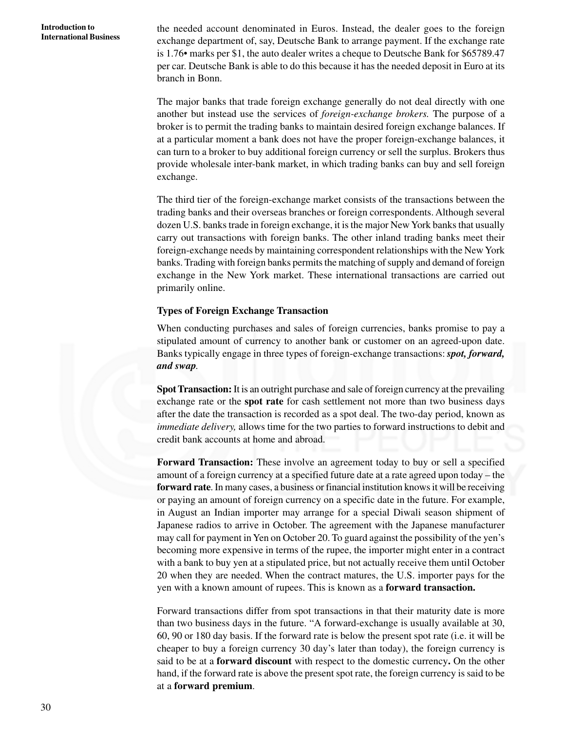the needed account denominated in Euros. Instead, the dealer goes to the foreign exchange department of, say, Deutsche Bank to arrange payment. If the exchange rate is 1.76• marks per \$1, the auto dealer writes a cheque to Deutsche Bank for \$65789.47 per car. Deutsche Bank is able to do this because it has the needed deposit in Euro at its branch in Bonn.

The major banks that trade foreign exchange generally do not deal directly with one another but instead use the services of *foreign-exchange brokers.* The purpose of a broker is to permit the trading banks to maintain desired foreign exchange balances. If at a particular moment a bank does not have the proper foreign-exchange balances, it can turn to a broker to buy additional foreign currency or sell the surplus. Brokers thus provide wholesale inter-bank market, in which trading banks can buy and sell foreign exchange.

The third tier of the foreign-exchange market consists of the transactions between the trading banks and their overseas branches or foreign correspondents. Although several dozen U.S. banks trade in foreign exchange, it is the major New York banks that usually carry out transactions with foreign banks. The other inland trading banks meet their foreign-exchange needs by maintaining correspondent relationships with the New York banks. Trading with foreign banks permits the matching of supply and demand of foreign exchange in the New York market. These international transactions are carried out primarily online.

#### **Types of Foreign Exchange Transaction**

When conducting purchases and sales of foreign currencies, banks promise to pay a stipulated amount of currency to another bank or customer on an agreed-upon date. Banks typically engage in three types of foreign-exchange transactions: *spot, forward, and swap.*

**Spot Transaction:** It is an outright purchase and sale of foreign currency at the prevailing exchange rate or the **spot rate** for cash settlement not more than two business days after the date the transaction is recorded as a spot deal. The two-day period, known as *immediate delivery,* allows time for the two parties to forward instructions to debit and credit bank accounts at home and abroad.

**Forward Transaction:** These involve an agreement today to buy or sell a specified amount of a foreign currency at a specified future date at a rate agreed upon today – the **forward rate**. In many cases, a business or financial institution knows it will be receiving or paying an amount of foreign currency on a specific date in the future. For example, in August an Indian importer may arrange for a special Diwali season shipment of Japanese radios to arrive in October. The agreement with the Japanese manufacturer may call for payment in Yen on October 20. To guard against the possibility of the yen's becoming more expensive in terms of the rupee, the importer might enter in a contract with a bank to buy yen at a stipulated price, but not actually receive them until October 20 when they are needed. When the contract matures, the U.S. importer pays for the yen with a known amount of rupees. This is known as a **forward transaction.**

Forward transactions differ from spot transactions in that their maturity date is more than two business days in the future. "A forward-exchange is usually available at 30, 60, 90 or 180 day basis. If the forward rate is below the present spot rate (i.e. it will be cheaper to buy a foreign currency 30 day's later than today), the foreign currency is said to be at a **forward discount** with respect to the domestic currency**.** On the other hand, if the forward rate is above the present spot rate, the foreign currency is said to be at a **forward premium**.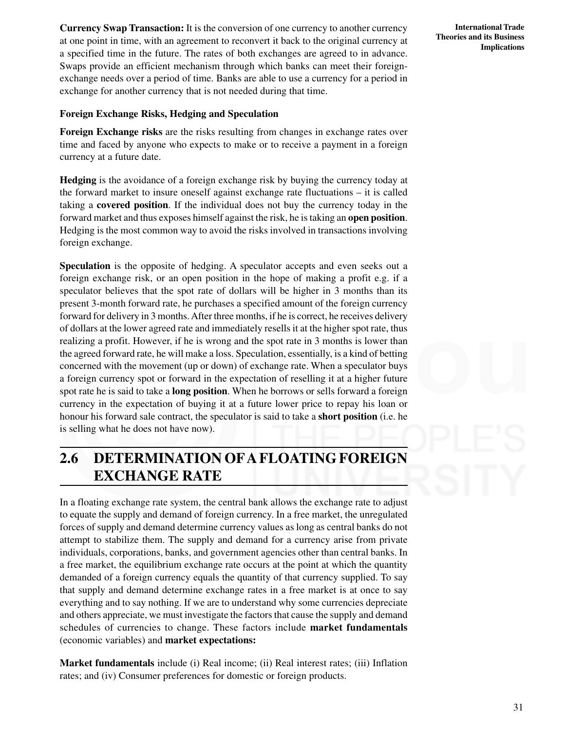**Currency Swap Transaction:** It is the conversion of one currency to another currency at one point in time, with an agreement to reconvert it back to the original currency at a specified time in the future. The rates of both exchanges are agreed to in advance. Swaps provide an efficient mechanism through which banks can meet their foreignexchange needs over a period of time. Banks are able to use a currency for a period in exchange for another currency that is not needed during that time.

### **Foreign Exchange Risks, Hedging and Speculation**

**Foreign Exchange risks** are the risks resulting from changes in exchange rates over time and faced by anyone who expects to make or to receive a payment in a foreign currency at a future date.

**Hedging** is the avoidance of a foreign exchange risk by buying the currency today at the forward market to insure oneself against exchange rate fluctuations – it is called taking a **covered position**. If the individual does not buy the currency today in the forward market and thus exposes himself against the risk, he is taking an **open position**. Hedging is the most common way to avoid the risks involved in transactions involving foreign exchange.

**Speculation** is the opposite of hedging. A speculator accepts and even seeks out a foreign exchange risk, or an open position in the hope of making a profit e.g. if a speculator believes that the spot rate of dollars will be higher in 3 months than its present 3-month forward rate, he purchases a specified amount of the foreign currency forward for delivery in 3 months. After three months, if he is correct, he receives delivery of dollars at the lower agreed rate and immediately resells it at the higher spot rate, thus realizing a profit. However, if he is wrong and the spot rate in 3 months is lower than the agreed forward rate, he will make a loss. Speculation, essentially, is a kind of betting concerned with the movement (up or down) of exchange rate. When a speculator buys a foreign currency spot or forward in the expectation of reselling it at a higher future spot rate he is said to take a **long position**. When he borrows or sells forward a foreign currency in the expectation of buying it at a future lower price to repay his loan or honour his forward sale contract, the speculator is said to take a **short position** (i.e. he is selling what he does not have now).

## **2.6 DETERMINATION OF A FLOATING FOREIGN EXCHANGE RATE**

In a floating exchange rate system, the central bank allows the exchange rate to adjust to equate the supply and demand of foreign currency. In a free market, the unregulated forces of supply and demand determine currency values as long as central banks do not attempt to stabilize them. The supply and demand for a currency arise from private individuals, corporations, banks, and government agencies other than central banks. In a free market, the equilibrium exchange rate occurs at the point at which the quantity demanded of a foreign currency equals the quantity of that currency supplied. To say that supply and demand determine exchange rates in a free market is at once to say everything and to say nothing. If we are to understand why some currencies depreciate and others appreciate, we must investigate the factors that cause the supply and demand schedules of currencies to change. These factors include **market fundamentals** (economic variables) and **market expectations:**

**Market fundamentals** include (i) Real income; (ii) Real interest rates; (iii) Inflation rates; and (iv) Consumer preferences for domestic or foreign products.

**International Trade Theories and its Business Implications**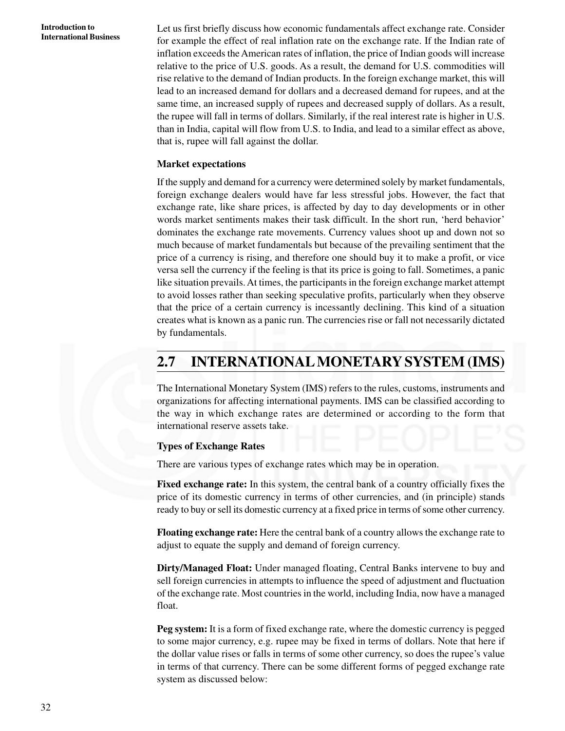#### **Introduction to International Business**

Let us first briefly discuss how economic fundamentals affect exchange rate. Consider for example the effect of real inflation rate on the exchange rate. If the Indian rate of inflation exceeds the American rates of inflation, the price of Indian goods will increase relative to the price of U.S. goods. As a result, the demand for U.S. commodities will rise relative to the demand of Indian products. In the foreign exchange market, this will lead to an increased demand for dollars and a decreased demand for rupees, and at the same time, an increased supply of rupees and decreased supply of dollars. As a result, the rupee will fall in terms of dollars. Similarly, if the real interest rate is higher in U.S. than in India, capital will flow from U.S. to India, and lead to a similar effect as above, that is, rupee will fall against the dollar.

### **Market expectations**

If the supply and demand for a currency were determined solely by market fundamentals, foreign exchange dealers would have far less stressful jobs. However, the fact that exchange rate, like share prices, is affected by day to day developments or in other words market sentiments makes their task difficult. In the short run, 'herd behavior' dominates the exchange rate movements. Currency values shoot up and down not so much because of market fundamentals but because of the prevailing sentiment that the price of a currency is rising, and therefore one should buy it to make a profit, or vice versa sell the currency if the feeling is that its price is going to fall. Sometimes, a panic like situation prevails. At times, the participants in the foreign exchange market attempt to avoid losses rather than seeking speculative profits, particularly when they observe that the price of a certain currency is incessantly declining. This kind of a situation creates what is known as a panic run. The currencies rise or fall not necessarily dictated by fundamentals.

### **2.7 INTERNATIONAL MONETARY SYSTEM (IMS)**

The International Monetary System (IMS) refers to the rules, customs, instruments and organizations for affecting international payments. IMS can be classified according to the way in which exchange rates are determined or according to the form that international reserve assets take.

### **Types of Exchange Rates**

There are various types of exchange rates which may be in operation.

**Fixed exchange rate:** In this system, the central bank of a country officially fixes the price of its domestic currency in terms of other currencies, and (in principle) stands ready to buy or sell its domestic currency at a fixed price in terms of some other currency.

**Floating exchange rate:** Here the central bank of a country allows the exchange rate to adjust to equate the supply and demand of foreign currency.

**Dirty/Managed Float:** Under managed floating, Central Banks intervene to buy and sell foreign currencies in attempts to influence the speed of adjustment and fluctuation of the exchange rate. Most countries in the world, including India, now have a managed float.

**Peg system:** It is a form of fixed exchange rate, where the domestic currency is pegged to some major currency, e.g. rupee may be fixed in terms of dollars. Note that here if the dollar value rises or falls in terms of some other currency, so does the rupee's value in terms of that currency. There can be some different forms of pegged exchange rate system as discussed below: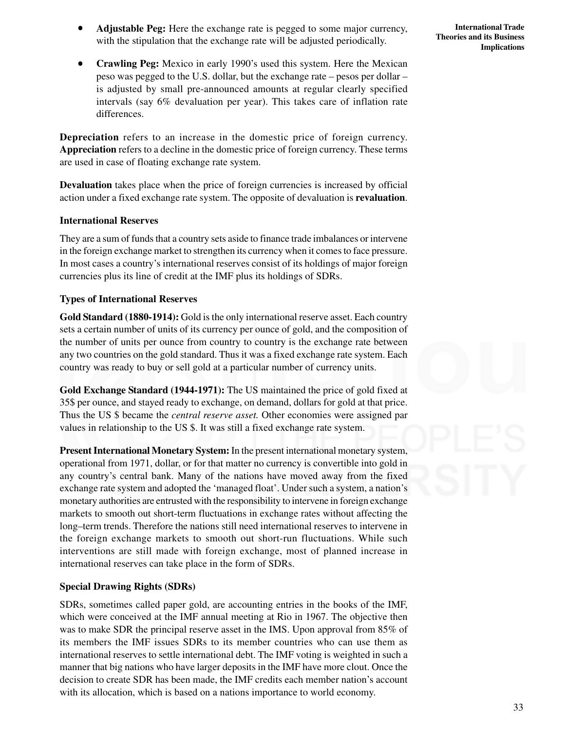- **Adjustable Peg:** Here the exchange rate is pegged to some major currency, with the stipulation that the exchange rate will be adjusted periodically.
- **Crawling Peg:** Mexico in early 1990's used this system. Here the Mexican peso was pegged to the U.S. dollar, but the exchange rate – pesos per dollar – is adjusted by small pre-announced amounts at regular clearly specified intervals (say 6% devaluation per year). This takes care of inflation rate differences.

**Depreciation** refers to an increase in the domestic price of foreign currency. **Appreciation** refers to a decline in the domestic price of foreign currency. These terms are used in case of floating exchange rate system.

**Devaluation** takes place when the price of foreign currencies is increased by official action under a fixed exchange rate system. The opposite of devaluation is **revaluation**.

### **International Reserves**

They are a sum of funds that a country sets aside to finance trade imbalances or intervene in the foreign exchange market to strengthen its currency when it comes to face pressure. In most cases a country's international reserves consist of its holdings of major foreign currencies plus its line of credit at the IMF plus its holdings of SDRs.

### **Types of International Reserves**

**Gold Standard (1880-1914):** Gold is the only international reserve asset. Each country sets a certain number of units of its currency per ounce of gold, and the composition of the number of units per ounce from country to country is the exchange rate between any two countries on the gold standard. Thus it was a fixed exchange rate system. Each country was ready to buy or sell gold at a particular number of currency units.

**Gold Exchange Standard (1944-1971):** The US maintained the price of gold fixed at 35\$ per ounce, and stayed ready to exchange, on demand, dollars for gold at that price. Thus the US \$ became the *central reserve asset.* Other economies were assigned par values in relationship to the US \$. It was still a fixed exchange rate system.

**Present International Monetary System:** In the present international monetary system, operational from 1971, dollar, or for that matter no currency is convertible into gold in any country's central bank. Many of the nations have moved away from the fixed exchange rate system and adopted the 'managed float'. Under such a system, a nation's monetary authorities are entrusted with the responsibility to intervene in foreign exchange markets to smooth out short-term fluctuations in exchange rates without affecting the long–term trends. Therefore the nations still need international reserves to intervene in the foreign exchange markets to smooth out short-run fluctuations. While such interventions are still made with foreign exchange, most of planned increase in international reserves can take place in the form of SDRs.

### **Special Drawing Rights (SDRs)**

SDRs, sometimes called paper gold, are accounting entries in the books of the IMF, which were conceived at the IMF annual meeting at Rio in 1967. The objective then was to make SDR the principal reserve asset in the IMS. Upon approval from 85% of its members the IMF issues SDRs to its member countries who can use them as international reserves to settle international debt. The IMF voting is weighted in such a manner that big nations who have larger deposits in the IMF have more clout. Once the decision to create SDR has been made, the IMF credits each member nation's account with its allocation, which is based on a nations importance to world economy.

**International Trade Theories and its Business Implications**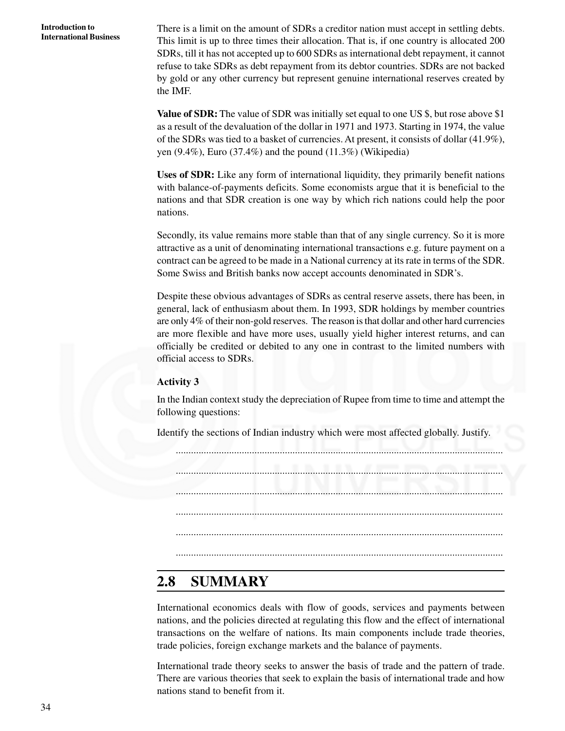There is a limit on the amount of SDRs a creditor nation must accept in settling debts. This limit is up to three times their allocation. That is, if one country is allocated 200 SDRs, till it has not accepted up to 600 SDRs as international debt repayment, it cannot refuse to take SDRs as debt repayment from its debtor countries. SDRs are not backed by gold or any other currency but represent genuine international reserves created by the IMF.

**Value of SDR:** The value of SDR was initially set equal to one US \$, but rose above \$1 as a result of the devaluation of the dollar in 1971 and 1973. Starting in 1974, the value of the SDRs was tied to a basket of currencies. At present, it consists of dollar (41.9%), yen (9.4%), Euro (37.4%) and the pound (11.3%) (Wikipedia)

**Uses of SDR:** Like any form of international liquidity, they primarily benefit nations with balance-of-payments deficits. Some economists argue that it is beneficial to the nations and that SDR creation is one way by which rich nations could help the poor nations.

Secondly, its value remains more stable than that of any single currency. So it is more attractive as a unit of denominating international transactions e.g. future payment on a contract can be agreed to be made in a National currency at its rate in terms of the SDR. Some Swiss and British banks now accept accounts denominated in SDR's.

Despite these obvious advantages of SDRs as central reserve assets, there has been, in general, lack of enthusiasm about them. In 1993, SDR holdings by member countries are only 4% of their non-gold reserves. The reason is that dollar and other hard currencies are more flexible and have more uses, usually yield higher interest returns, and can officially be credited or debited to any one in contrast to the limited numbers with official access to SDRs.

#### **Activity 3**

In the Indian context study the depreciation of Rupee from time to time and attempt the following questions:

Identify the sections of Indian industry which were most affected globally. Justify.



### **2.8 SUMMARY**

International economics deals with flow of goods, services and payments between nations, and the policies directed at regulating this flow and the effect of international transactions on the welfare of nations. Its main components include trade theories, trade policies, foreign exchange markets and the balance of payments.

International trade theory seeks to answer the basis of trade and the pattern of trade. There are various theories that seek to explain the basis of international trade and how nations stand to benefit from it.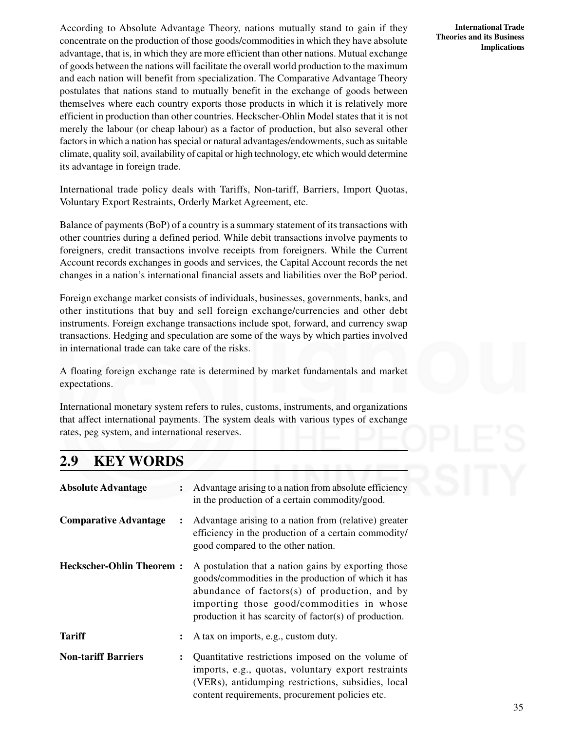According to Absolute Advantage Theory, nations mutually stand to gain if they concentrate on the production of those goods/commodities in which they have absolute advantage, that is, in which they are more efficient than other nations. Mutual exchange of goods between the nations will facilitate the overall world production to the maximum and each nation will benefit from specialization. The Comparative Advantage Theory postulates that nations stand to mutually benefit in the exchange of goods between themselves where each country exports those products in which it is relatively more efficient in production than other countries. Heckscher-Ohlin Model states that it is not merely the labour (or cheap labour) as a factor of production, but also several other factors in which a nation has special or natural advantages/endowments, such as suitable climate, quality soil, availability of capital or high technology, etc which would determine its advantage in foreign trade.

International trade policy deals with Tariffs, Non-tariff, Barriers, Import Quotas, Voluntary Export Restraints, Orderly Market Agreement, etc.

Balance of payments (BoP) of a country is a summary statement of its transactions with other countries during a defined period. While debit transactions involve payments to foreigners, credit transactions involve receipts from foreigners. While the Current Account records exchanges in goods and services, the Capital Account records the net changes in a nation's international financial assets and liabilities over the BoP period.

Foreign exchange market consists of individuals, businesses, governments, banks, and other institutions that buy and sell foreign exchange/currencies and other debt instruments. Foreign exchange transactions include spot, forward, and currency swap transactions. Hedging and speculation are some of the ways by which parties involved in international trade can take care of the risks.

A floating foreign exchange rate is determined by market fundamentals and market expectations.

International monetary system refers to rules, customs, instruments, and organizations that affect international payments. The system deals with various types of exchange rates, peg system, and international reserves.

### **2.9 KEY WORDS**

| <b>Absolute Advantage</b>       |                      | Advantage arising to a nation from absolute efficiency<br>in the production of a certain commodity/good.                                                                                                                                                            |
|---------------------------------|----------------------|---------------------------------------------------------------------------------------------------------------------------------------------------------------------------------------------------------------------------------------------------------------------|
| <b>Comparative Advantage</b>    | $\ddot{\phantom{a}}$ | Advantage arising to a nation from (relative) greater<br>efficiency in the production of a certain commodity/<br>good compared to the other nation.                                                                                                                 |
| <b>Heckscher-Ohlin Theorem:</b> |                      | A postulation that a nation gains by exporting those<br>goods/commodities in the production of which it has<br>abundance of factors(s) of production, and by<br>importing those good/commodities in whose<br>production it has scarcity of factor(s) of production. |
| Tariff                          | $\ddot{\cdot}$       | A tax on imports, e.g., custom duty.                                                                                                                                                                                                                                |
| <b>Non-tariff Barriers</b>      | $\ddot{\cdot}$       | Quantitative restrictions imposed on the volume of<br>imports, e.g., quotas, voluntary export restraints<br>(VERs), antidumping restrictions, subsidies, local<br>content requirements, procurement policies etc.                                                   |

**International Trade Theories and its Business Implications**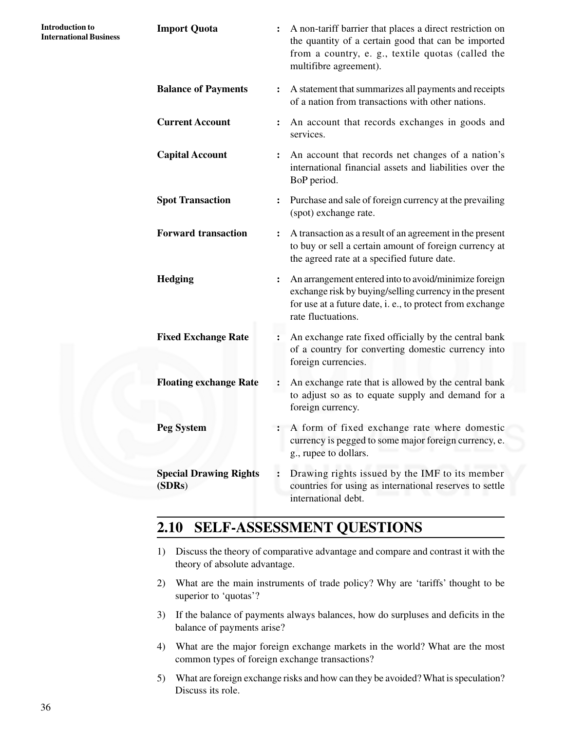| <b>Import Quota</b>                     | $\ddot{\cdot}$       | A non-tariff barrier that places a direct restriction on<br>the quantity of a certain good that can be imported<br>from a country, e. g., textile quotas (called the<br>multifibre agreement).      |
|-----------------------------------------|----------------------|-----------------------------------------------------------------------------------------------------------------------------------------------------------------------------------------------------|
| <b>Balance of Payments</b>              | $\ddot{\cdot}$       | A statement that summarizes all payments and receipts<br>of a nation from transactions with other nations.                                                                                          |
| <b>Current Account</b>                  | $\ddot{\cdot}$       | An account that records exchanges in goods and<br>services.                                                                                                                                         |
| <b>Capital Account</b>                  | $\ddot{\cdot}$       | An account that records net changes of a nation's<br>international financial assets and liabilities over the<br>BoP period.                                                                         |
| <b>Spot Transaction</b>                 | $\ddot{\cdot}$       | Purchase and sale of foreign currency at the prevailing<br>(spot) exchange rate.                                                                                                                    |
| <b>Forward transaction</b>              | $\ddot{\cdot}$       | A transaction as a result of an agreement in the present<br>to buy or sell a certain amount of foreign currency at<br>the agreed rate at a specified future date.                                   |
| Hedging                                 | $\ddot{\cdot}$       | An arrangement entered into to avoid/minimize foreign<br>exchange risk by buying/selling currency in the present<br>for use at a future date, i. e., to protect from exchange<br>rate fluctuations. |
| <b>Fixed Exchange Rate</b>              | $\ddot{\cdot}$       | An exchange rate fixed officially by the central bank<br>of a country for converting domestic currency into<br>foreign currencies.                                                                  |
| <b>Floating exchange Rate</b>           | $\ddot{\phantom{0}}$ | An exchange rate that is allowed by the central bank<br>to adjust so as to equate supply and demand for a<br>foreign currency.                                                                      |
| <b>Peg System</b>                       | $\ddot{\cdot}$       | A form of fixed exchange rate where domestic<br>currency is pegged to some major foreign currency, e.<br>g., rupee to dollars.                                                                      |
| <b>Special Drawing Rights</b><br>(SDRs) | :                    | Drawing rights issued by the IMF to its member<br>countries for using as international reserves to settle<br>international debt.                                                                    |

### **2.10 SELF-ASSESSMENT QUESTIONS**

- 1) Discuss the theory of comparative advantage and compare and contrast it with the theory of absolute advantage.
- 2) What are the main instruments of trade policy? Why are 'tariffs' thought to be superior to 'quotas'?
- 3) If the balance of payments always balances, how do surpluses and deficits in the balance of payments arise?
- 4) What are the major foreign exchange markets in the world? What are the most common types of foreign exchange transactions?
- 5) What are foreign exchange risks and how can they be avoided? What is speculation? Discuss its role.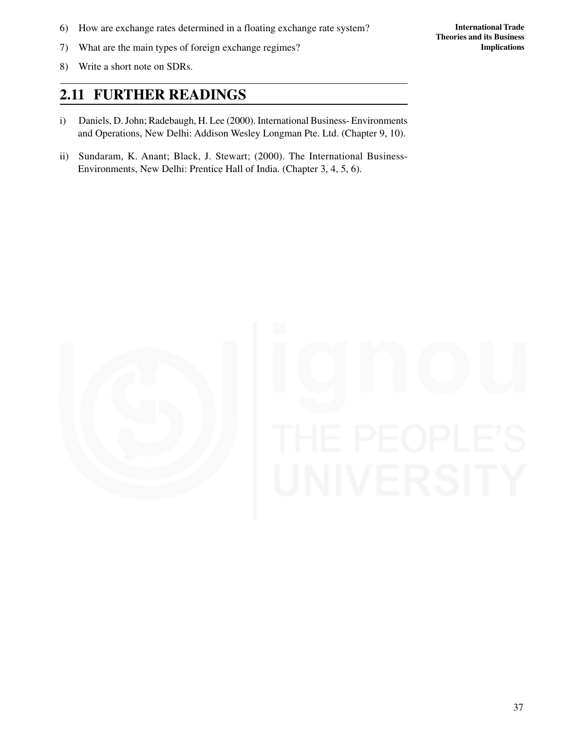- 6) How are exchange rates determined in a floating exchange rate system?
- 7) What are the main types of foreign exchange regimes?
- 8) Write a short note on SDRs.

# **2.11 FURTHER READINGS**

- i) Daniels, D. John; Radebaugh, H. Lee (2000). International Business- Environments and Operations, New Delhi: Addison Wesley Longman Pte. Ltd. (Chapter 9, 10).
- ii) Sundaram, K. Anant; Black, J. Stewart; (2000). The International Business-Environments, New Delhi: Prentice Hall of India. (Chapter 3, 4, 5, 6).

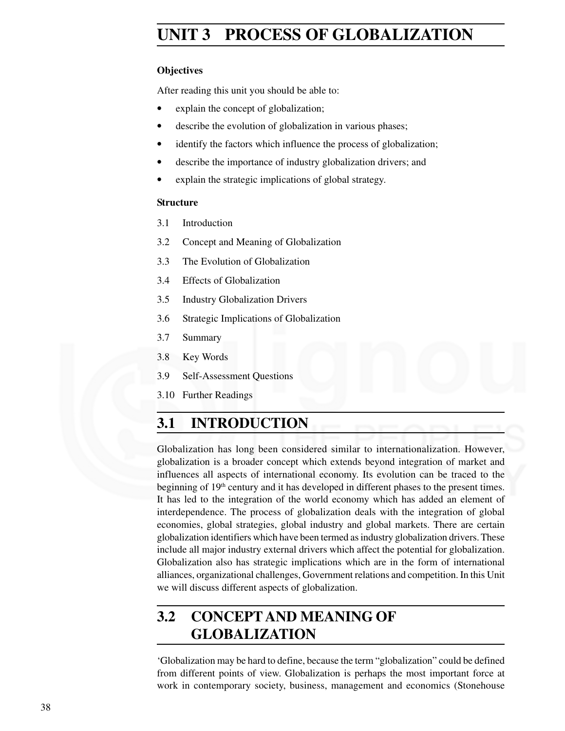# **International Business UNIT 3 PROCESS OF GLOBALIZATION**

### **Objectives**

After reading this unit you should be able to:

- explain the concept of globalization;
- describe the evolution of globalization in various phases;
- identify the factors which influence the process of globalization;
- describe the importance of industry globalization drivers; and
- explain the strategic implications of global strategy.

### **Structure**

- 3.1 Introduction
- 3.2 Concept and Meaning of Globalization
- 3.3 The Evolution of Globalization
- 3.4 Effects of Globalization
- 3.5 Industry Globalization Drivers
- 3.6 Strategic Implications of Globalization
- 3.7 Summary
- 3.8 Key Words
- 3.9 Self-Assessment Questions
- 3.10 Further Readings

### **3.1 INTRODUCTION**

Globalization has long been considered similar to internationalization. However, globalization is a broader concept which extends beyond integration of market and influences all aspects of international economy. Its evolution can be traced to the beginning of 19<sup>th</sup> century and it has developed in different phases to the present times. It has led to the integration of the world economy which has added an element of interdependence. The process of globalization deals with the integration of global economies, global strategies, global industry and global markets. There are certain globalization identifiers which have been termed as industry globalization drivers. These include all major industry external drivers which affect the potential for globalization. Globalization also has strategic implications which are in the form of international alliances, organizational challenges, Government relations and competition. In this Unit we will discuss different aspects of globalization.

### **3.2 CONCEPT AND MEANING OF GLOBALIZATION**

'Globalization may be hard to define, because the term "globalization" could be defined from different points of view. Globalization is perhaps the most important force at work in contemporary society, business, management and economics (Stonehouse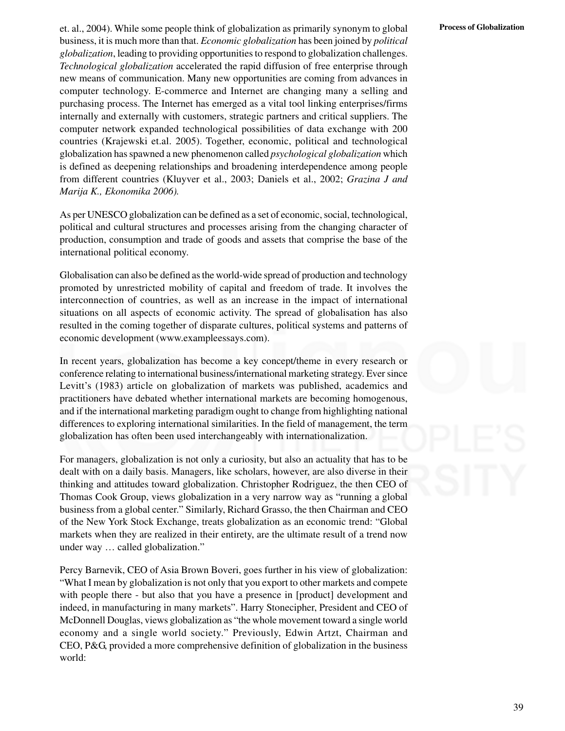et. al., 2004). While some people think of globalization as primarily synonym to global **Process of Globalization** business, it is much more than that. *Economic globalization* has been joined by *political globalization*, leading to providing opportunities to respond to globalization challenges. *Technological globalization* accelerated the rapid diffusion of free enterprise through new means of communication. Many new opportunities are coming from advances in computer technology. E-commerce and Internet are changing many a selling and purchasing process. The Internet has emerged as a vital tool linking enterprises/firms internally and externally with customers, strategic partners and critical suppliers. The computer network expanded technological possibilities of data exchange with 200 countries (Krajewski et.al. 2005). Together, economic, political and technological globalization has spawned a new phenomenon called *psychological globalization* which is defined as deepening relationships and broadening interdependence among people from different countries (Kluyver et al., 2003; Daniels et al., 2002; *Grazina J and Marija K., Ekonomika 2006).*

As per UNESCO globalization can be defined as a set of economic, social, technological, political and cultural structures and processes arising from the changing character of production, consumption and trade of goods and assets that comprise the base of the international political economy.

Globalisation can also be defined as the world-wide spread of production and technology promoted by unrestricted mobility of capital and freedom of trade. It involves the interconnection of countries, as well as an increase in the impact of international situations on all aspects of economic activity. The spread of globalisation has also resulted in the coming together of disparate cultures, political systems and patterns of economic development (www.exampleessays.com).

In recent years, globalization has become a key concept/theme in every research or conference relating to international business/international marketing strategy. Ever since Levitt's (1983) article on globalization of markets was published, academics and practitioners have debated whether international markets are becoming homogenous, and if the international marketing paradigm ought to change from highlighting national differences to exploring international similarities. In the field of management, the term globalization has often been used interchangeably with internationalization.

For managers, globalization is not only a curiosity, but also an actuality that has to be dealt with on a daily basis. Managers, like scholars, however, are also diverse in their thinking and attitudes toward globalization. Christopher Rodriguez, the then CEO of Thomas Cook Group, views globalization in a very narrow way as "running a global business from a global center." Similarly, Richard Grasso, the then Chairman and CEO of the New York Stock Exchange, treats globalization as an economic trend: "Global markets when they are realized in their entirety, are the ultimate result of a trend now under way … called globalization."

Percy Barnevik, CEO of Asia Brown Boveri, goes further in his view of globalization: "What I mean by globalization is not only that you export to other markets and compete with people there - but also that you have a presence in [product] development and indeed, in manufacturing in many markets". Harry Stonecipher, President and CEO of McDonnell Douglas, views globalization as "the whole movement toward a single world economy and a single world society." Previously, Edwin Artzt, Chairman and CEO, P&G, provided a more comprehensive definition of globalization in the business world: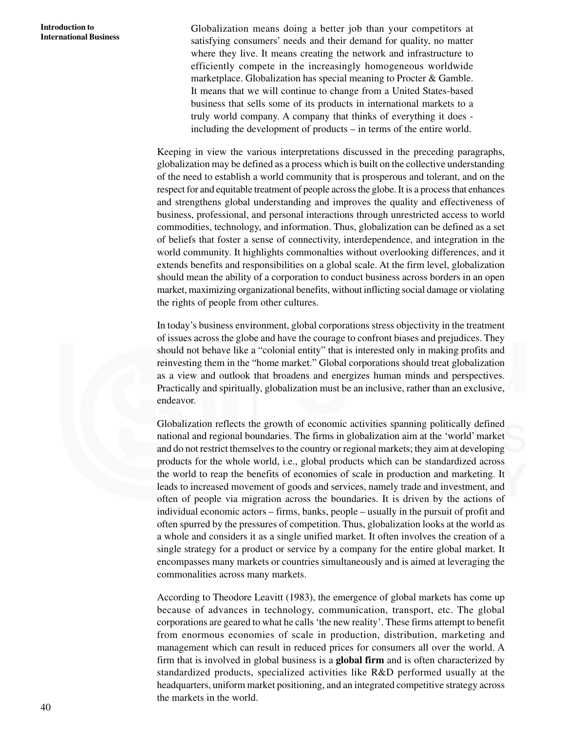Globalization means doing a better job than your competitors at satisfying consumers' needs and their demand for quality, no matter where they live. It means creating the network and infrastructure to efficiently compete in the increasingly homogeneous worldwide marketplace. Globalization has special meaning to Procter & Gamble. It means that we will continue to change from a United States-based business that sells some of its products in international markets to a truly world company. A company that thinks of everything it does including the development of products – in terms of the entire world.

Keeping in view the various interpretations discussed in the preceding paragraphs, globalization may be defined as a process which is built on the collective understanding of the need to establish a world community that is prosperous and tolerant, and on the respect for and equitable treatment of people across the globe. It is a process that enhances and strengthens global understanding and improves the quality and effectiveness of business, professional, and personal interactions through unrestricted access to world commodities, technology, and information. Thus, globalization can be defined as a set of beliefs that foster a sense of connectivity, interdependence, and integration in the world community. It highlights commonalties without overlooking differences, and it extends benefits and responsibilities on a global scale. At the firm level, globalization should mean the ability of a corporation to conduct business across borders in an open market, maximizing organizational benefits, without inflicting social damage or violating the rights of people from other cultures.

In today's business environment, global corporations stress objectivity in the treatment of issues across the globe and have the courage to confront biases and prejudices. They should not behave like a "colonial entity" that is interested only in making profits and reinvesting them in the "home market." Global corporations should treat globalization as a view and outlook that broadens and energizes human minds and perspectives. Practically and spiritually, globalization must be an inclusive, rather than an exclusive, endeavor.

Globalization reflects the growth of economic activities spanning politically defined national and regional boundaries. The firms in globalization aim at the 'world' market and do not restrict themselves to the country or regional markets; they aim at developing products for the whole world, i.e., global products which can be standardized across the world to reap the benefits of economies of scale in production and marketing. It leads to increased movement of goods and services, namely trade and investment, and often of people via migration across the boundaries. It is driven by the actions of individual economic actors – firms, banks, people – usually in the pursuit of profit and often spurred by the pressures of competition. Thus, globalization looks at the world as a whole and considers it as a single unified market. It often involves the creation of a single strategy for a product or service by a company for the entire global market. It encompasses many markets or countries simultaneously and is aimed at leveraging the commonalities across many markets.

According to Theodore Leavitt (1983), the emergence of global markets has come up because of advances in technology, communication, transport, etc. The global corporations are geared to what he calls 'the new reality'. These firms attempt to benefit from enormous economies of scale in production, distribution, marketing and management which can result in reduced prices for consumers all over the world. A firm that is involved in global business is a **global firm** and is often characterized by standardized products, specialized activities like R&D performed usually at the headquarters, uniform market positioning, and an integrated competitive strategy across the markets in the world.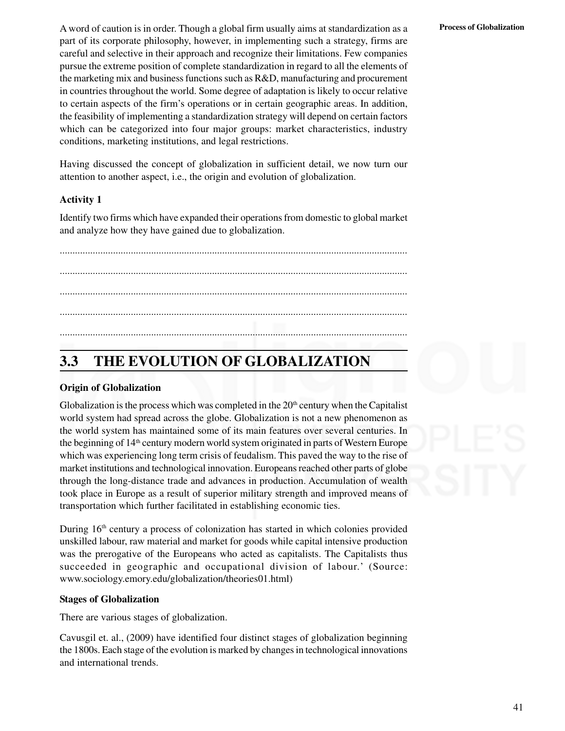A word of caution is in order. Though a global firm usually aims at standardization as a **Process of Globalization** part of its corporate philosophy, however, in implementing such a strategy, firms are careful and selective in their approach and recognize their limitations. Few companies pursue the extreme position of complete standardization in regard to all the elements of the marketing mix and business functions such as R&D, manufacturing and procurement in countries throughout the world. Some degree of adaptation is likely to occur relative to certain aspects of the firm's operations or in certain geographic areas. In addition, the feasibility of implementing a standardization strategy will depend on certain factors which can be categorized into four major groups: market characteristics, industry conditions, marketing institutions, and legal restrictions.

Having discussed the concept of globalization in sufficient detail, we now turn our attention to another aspect, i.e., the origin and evolution of globalization.

### **Activity 1**

Identify two firms which have expanded their operations from domestic to global market and analyze how they have gained due to globalization.

......................................................................................................................................... ......................................................................................................................................... ......................................................................................................................................... ......................................................................................................................................... .........................................................................................................................................

# **3.3 THE EVOLUTION OF GLOBALIZATION**

### **Origin of Globalization**

Globalization is the process which was completed in the  $20<sup>th</sup>$  century when the Capitalist world system had spread across the globe. Globalization is not a new phenomenon as the world system has maintained some of its main features over several centuries. In the beginning of 14th century modern world system originated in parts of Western Europe which was experiencing long term crisis of feudalism. This paved the way to the rise of market institutions and technological innovation. Europeans reached other parts of globe through the long-distance trade and advances in production. Accumulation of wealth took place in Europe as a result of superior military strength and improved means of transportation which further facilitated in establishing economic ties.

During  $16<sup>th</sup>$  century a process of colonization has started in which colonies provided unskilled labour, raw material and market for goods while capital intensive production was the prerogative of the Europeans who acted as capitalists. The Capitalists thus succeeded in geographic and occupational division of labour.' (Source: www.sociology.emory.edu/globalization/theories01.html)

### **Stages of Globalization**

There are various stages of globalization.

Cavusgil et. al., (2009) have identified four distinct stages of globalization beginning the 1800s. Each stage of the evolution is marked by changes in technological innovations and international trends.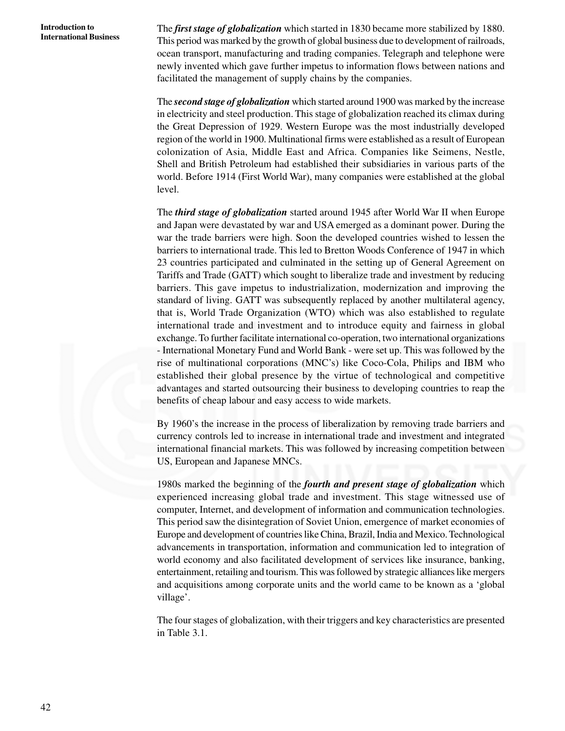The *first stage of globalization* which started in 1830 became more stabilized by 1880. This period was marked by the growth of global business due to development of railroads, ocean transport, manufacturing and trading companies. Telegraph and telephone were newly invented which gave further impetus to information flows between nations and facilitated the management of supply chains by the companies.

The *second stage of globalization* which started around 1900 was marked by the increase in electricity and steel production. This stage of globalization reached its climax during the Great Depression of 1929. Western Europe was the most industrially developed region of the world in 1900. Multinational firms were established as a result of European colonization of Asia, Middle East and Africa. Companies like Seimens, Nestle, Shell and British Petroleum had established their subsidiaries in various parts of the world. Before 1914 (First World War), many companies were established at the global level.

The *third stage of globalization* started around 1945 after World War II when Europe and Japan were devastated by war and USA emerged as a dominant power. During the war the trade barriers were high. Soon the developed countries wished to lessen the barriers to international trade. This led to Bretton Woods Conference of 1947 in which 23 countries participated and culminated in the setting up of General Agreement on Tariffs and Trade (GATT) which sought to liberalize trade and investment by reducing barriers. This gave impetus to industrialization, modernization and improving the standard of living. GATT was subsequently replaced by another multilateral agency, that is, World Trade Organization (WTO) which was also established to regulate international trade and investment and to introduce equity and fairness in global exchange. To further facilitate international co-operation, two international organizations - International Monetary Fund and World Bank - were set up. This was followed by the rise of multinational corporations (MNC's) like Coco-Cola, Philips and IBM who established their global presence by the virtue of technological and competitive advantages and started outsourcing their business to developing countries to reap the benefits of cheap labour and easy access to wide markets.

By 1960's the increase in the process of liberalization by removing trade barriers and currency controls led to increase in international trade and investment and integrated international financial markets. This was followed by increasing competition between US, European and Japanese MNCs.

1980s marked the beginning of the *fourth and present stage of globalization* which experienced increasing global trade and investment. This stage witnessed use of computer, Internet, and development of information and communication technologies. This period saw the disintegration of Soviet Union, emergence of market economies of Europe and development of countries like China, Brazil, India and Mexico. Technological advancements in transportation, information and communication led to integration of world economy and also facilitated development of services like insurance, banking, entertainment, retailing and tourism. This was followed by strategic alliances like mergers and acquisitions among corporate units and the world came to be known as a 'global village'.

The four stages of globalization, with their triggers and key characteristics are presented in Table 3.1.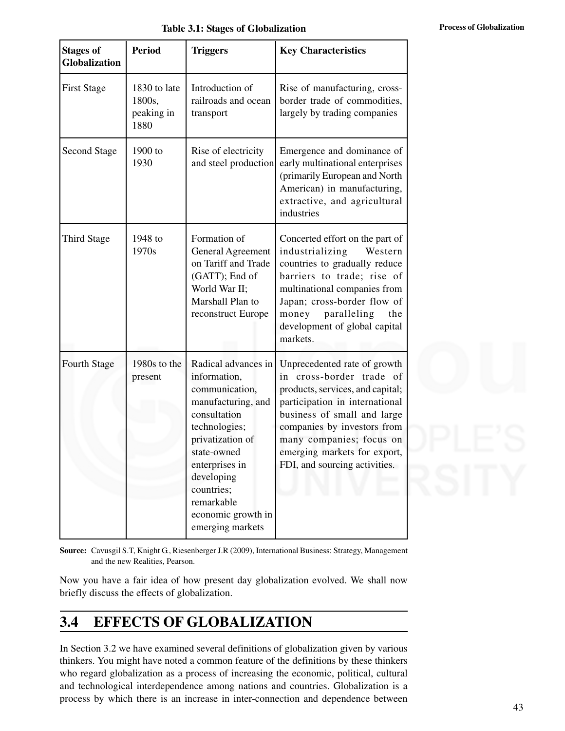**Table 3.1: Stages of Globalization Process of Globalization**

| <b>Stages of</b><br><b>Globalization</b> | <b>Period</b>                                | <b>Triggers</b>                                                                                                                                                                                                                                       | <b>Key Characteristics</b>                                                                                                                                                                                                                                                                   |
|------------------------------------------|----------------------------------------------|-------------------------------------------------------------------------------------------------------------------------------------------------------------------------------------------------------------------------------------------------------|----------------------------------------------------------------------------------------------------------------------------------------------------------------------------------------------------------------------------------------------------------------------------------------------|
| <b>First Stage</b>                       | 1830 to late<br>1800s,<br>peaking in<br>1880 | Introduction of<br>railroads and ocean<br>transport                                                                                                                                                                                                   | Rise of manufacturing, cross-<br>border trade of commodities,<br>largely by trading companies                                                                                                                                                                                                |
| <b>Second Stage</b>                      | 1900 to<br>1930                              | Rise of electricity<br>and steel production                                                                                                                                                                                                           | Emergence and dominance of<br>early multinational enterprises<br>(primarily European and North<br>American) in manufacturing,<br>extractive, and agricultural<br>industries                                                                                                                  |
| Third Stage                              | 1948 to<br>1970s                             | Formation of<br><b>General Agreement</b><br>on Tariff and Trade<br>(GATT); End of<br>World War II;<br>Marshall Plan to<br>reconstruct Europe                                                                                                          | Concerted effort on the part of<br>industrializing<br>Western<br>countries to gradually reduce<br>barriers to trade; rise of<br>multinational companies from<br>Japan; cross-border flow of<br>paralleling<br>money<br>the<br>development of global capital<br>markets.                      |
| Fourth Stage                             | 1980s to the<br>present                      | Radical advances in<br>information,<br>communication,<br>manufacturing, and<br>consultation<br>technologies;<br>privatization of<br>state-owned<br>enterprises in<br>developing<br>countries;<br>remarkable<br>economic growth in<br>emerging markets | Unprecedented rate of growth<br>in cross-border trade<br>of<br>products, services, and capital;<br>participation in international<br>business of small and large<br>companies by investors from<br>many companies; focus on<br>emerging markets for export,<br>FDI, and sourcing activities. |

**Source:** Cavusgil S.T, Knight G., Riesenberger J.R (2009), International Business: Strategy, Management and the new Realities, Pearson.

Now you have a fair idea of how present day globalization evolved. We shall now briefly discuss the effects of globalization.

## **3.4 EFFECTS OF GLOBALIZATION**

In Section 3.2 we have examined several definitions of globalization given by various thinkers. You might have noted a common feature of the definitions by these thinkers who regard globalization as a process of increasing the economic, political, cultural and technological interdependence among nations and countries. Globalization is a process by which there is an increase in inter-connection and dependence between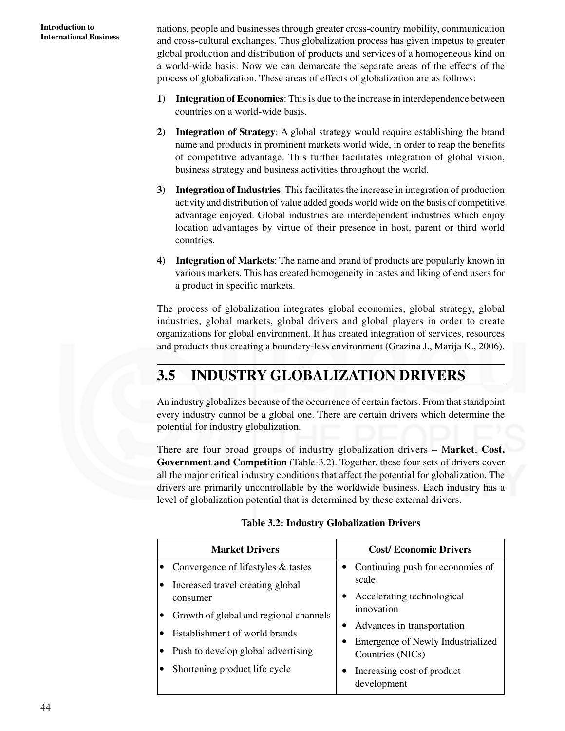nations, people and businesses through greater cross-country mobility, communication and cross-cultural exchanges. Thus globalization process has given impetus to greater global production and distribution of products and services of a homogeneous kind on a world-wide basis. Now we can demarcate the separate areas of the effects of the process of globalization. These areas of effects of globalization are as follows:

- **1) Integration of Economies**: This is due to the increase in interdependence between countries on a world-wide basis.
- **2) Integration of Strategy**: A global strategy would require establishing the brand name and products in prominent markets world wide, in order to reap the benefits of competitive advantage. This further facilitates integration of global vision, business strategy and business activities throughout the world.
- **3) Integration of Industries**: This facilitates the increase in integration of production activity and distribution of value added goods world wide on the basis of competitive advantage enjoyed. Global industries are interdependent industries which enjoy location advantages by virtue of their presence in host, parent or third world countries.
- **4) Integration of Markets**: The name and brand of products are popularly known in various markets. This has created homogeneity in tastes and liking of end users for a product in specific markets.

The process of globalization integrates global economies, global strategy, global industries, global markets, global drivers and global players in order to create organizations for global environment. It has created integration of services, resources and products thus creating a boundary-less environment (Grazina J., Marija K., 2006).

## **3.5 INDUSTRY GLOBALIZATION DRIVERS**

An industry globalizes because of the occurrence of certain factors. From that standpoint every industry cannot be a global one. There are certain drivers which determine the potential for industry globalization.

There are four broad groups of industry globalization drivers – M**arket**, **Cost, Government and Competition** (Table-3.2). Together, these four sets of drivers cover all the major critical industry conditions that affect the potential for globalization. The drivers are primarily uncontrollable by the worldwide business. Each industry has a level of globalization potential that is determined by these external drivers.

| <b>Market Drivers</b>                                                                                                   | <b>Cost/Economic Drivers</b>                                                                                         |
|-------------------------------------------------------------------------------------------------------------------------|----------------------------------------------------------------------------------------------------------------------|
| Convergence of lifestyles & tastes                                                                                      | Continuing push for economies of                                                                                     |
| Increased travel creating global<br>consumer<br>Growth of global and regional channels<br>Establishment of world brands | scale<br>Accelerating technological<br>innovation<br>Advances in transportation<br>Emergence of Newly Industrialized |
| Push to develop global advertising                                                                                      | Countries (NICs)                                                                                                     |
| Shortening product life cycle                                                                                           | Increasing cost of product<br>development                                                                            |

### **Table 3.2: Industry Globalization Drivers**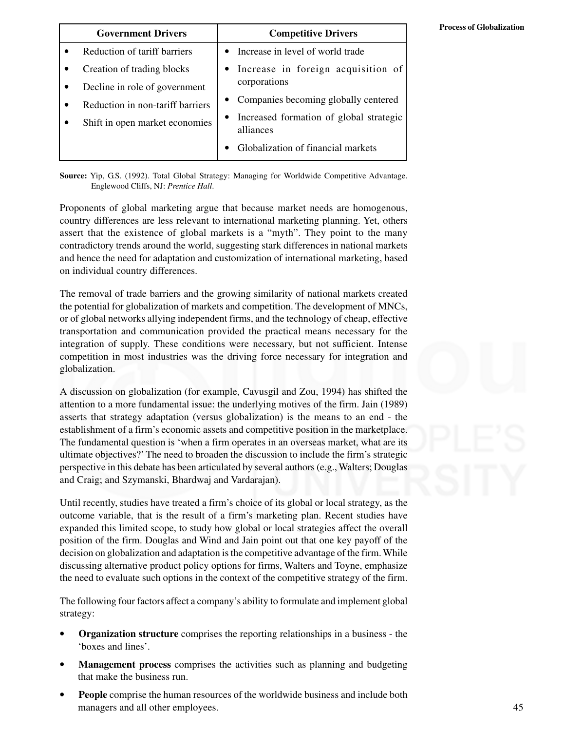| <b>Government Drivers</b>                                   | <b>Competitive Drivers</b>                           |
|-------------------------------------------------------------|------------------------------------------------------|
| Reduction of tariff barriers                                | • Increase in level of world trade                   |
| Creation of trading blocks<br>Decline in role of government | Increase in foreign acquisition of<br>corporations   |
| Reduction in non-tariff barriers                            | Companies becoming globally centered                 |
| Shift in open market economies                              | Increased formation of global strategic<br>alliances |
|                                                             | Globalization of financial markets                   |

**Source:** Yip, G.S. (1992). Total Global Strategy: Managing for Worldwide Competitive Advantage. Englewood Cliffs, NJ: *Prentice Hall*.

Proponents of global marketing argue that because market needs are homogenous, country differences are less relevant to international marketing planning. Yet, others assert that the existence of global markets is a "myth". They point to the many contradictory trends around the world, suggesting stark differences in national markets and hence the need for adaptation and customization of international marketing, based on individual country differences.

The removal of trade barriers and the growing similarity of national markets created the potential for globalization of markets and competition. The development of MNCs, or of global networks allying independent firms, and the technology of cheap, effective transportation and communication provided the practical means necessary for the integration of supply. These conditions were necessary, but not sufficient. Intense competition in most industries was the driving force necessary for integration and globalization.

A discussion on globalization (for example, Cavusgil and Zou, 1994) has shifted the attention to a more fundamental issue: the underlying motives of the firm. Jain (1989) asserts that strategy adaptation (versus globalization) is the means to an end - the establishment of a firm's economic assets and competitive position in the marketplace. The fundamental question is 'when a firm operates in an overseas market, what are its ultimate objectives?'The need to broaden the discussion to include the firm's strategic perspective in this debate has been articulated by several authors (e.g., Walters; Douglas and Craig; and Szymanski, Bhardwaj and Vardarajan).

Until recently, studies have treated a firm's choice of its global or local strategy, as the outcome variable, that is the result of a firm's marketing plan. Recent studies have expanded this limited scope, to study how global or local strategies affect the overall position of the firm. Douglas and Wind and Jain point out that one key payoff of the decision on globalization and adaptation is the competitive advantage of the firm. While discussing alternative product policy options for firms, Walters and Toyne, emphasize the need to evaluate such options in the context of the competitive strategy of the firm.

The following four factors affect a company's ability to formulate and implement global strategy:

- **Organization structure** comprises the reporting relationships in a business the 'boxes and lines'.
- **Management process** comprises the activities such as planning and budgeting that make the business run.
- **People** comprise the human resources of the worldwide business and include both managers and all other employees.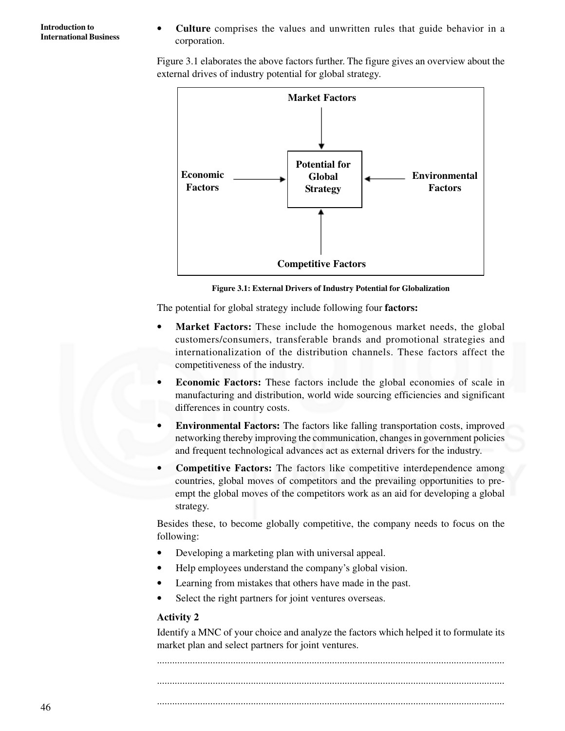#### **Introduction to International Business**

• **Culture** comprises the values and unwritten rules that guide behavior in a corporation.

Figure 3.1 elaborates the above factors further. The figure gives an overview about the external drives of industry potential for global strategy.



**Figure 3.1: External Drivers of Industry Potential for Globalization**

The potential for global strategy include following four **factors:**

- **Market Factors:** These include the homogenous market needs, the global customers/consumers, transferable brands and promotional strategies and internationalization of the distribution channels. These factors affect the competitiveness of the industry.
- **Economic Factors:** These factors include the global economies of scale in manufacturing and distribution, world wide sourcing efficiencies and significant differences in country costs.
- **Environmental Factors:** The factors like falling transportation costs, improved networking thereby improving the communication, changes in government policies and frequent technological advances act as external drivers for the industry.
- **Competitive Factors:** The factors like competitive interdependence among countries, global moves of competitors and the prevailing opportunities to preempt the global moves of the competitors work as an aid for developing a global strategy.

Besides these, to become globally competitive, the company needs to focus on the following:

- Developing a marketing plan with universal appeal.
- Help employees understand the company's global vision.
- Learning from mistakes that others have made in the past.
- Select the right partners for joint ventures overseas.

### **Activity 2**

Identify a MNC of your choice and analyze the factors which helped it to formulate its market plan and select partners for joint ventures.

......................................................................................................................................... ......................................................................................................................................... .........................................................................................................................................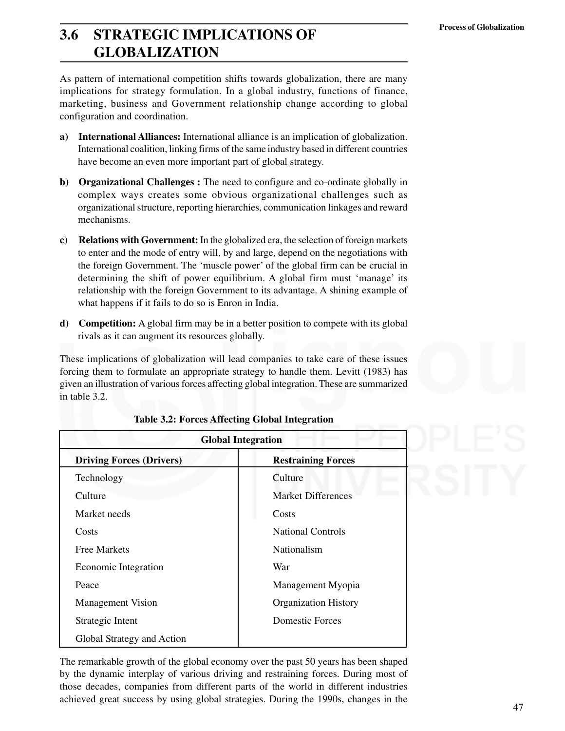# **Process of Globalization 3.6 STRATEGIC IMPLICATIONS OF GLOBALIZATION**

As pattern of international competition shifts towards globalization, there are many implications for strategy formulation. In a global industry, functions of finance, marketing, business and Government relationship change according to global configuration and coordination.

- **a) International Alliances:** International alliance is an implication of globalization. International coalition, linking firms of the same industry based in different countries have become an even more important part of global strategy.
- **b) Organizational Challenges :** The need to configure and co-ordinate globally in complex ways creates some obvious organizational challenges such as organizational structure, reporting hierarchies, communication linkages and reward mechanisms.
- **c) Relations with Government:** In the globalized era, the selection of foreign markets to enter and the mode of entry will, by and large, depend on the negotiations with the foreign Government. The 'muscle power' of the global firm can be crucial in determining the shift of power equilibrium. A global firm must 'manage' its relationship with the foreign Government to its advantage. A shining example of what happens if it fails to do so is Enron in India.
- **d) Competition:** A global firm may be in a better position to compete with its global rivals as it can augment its resources globally.

These implications of globalization will lead companies to take care of these issues forcing them to formulate an appropriate strategy to handle them. Levitt (1983) has given an illustration of various forces affecting global integration. These are summarized in table 3.2.

| <b>Global Integration</b>       |                             |  |
|---------------------------------|-----------------------------|--|
| <b>Driving Forces (Drivers)</b> | <b>Restraining Forces</b>   |  |
| Technology                      | Culture                     |  |
| Culture                         | <b>Market Differences</b>   |  |
| Market needs                    | Costs                       |  |
| Costs                           | <b>National Controls</b>    |  |
| Free Markets                    | Nationalism                 |  |
| Economic Integration            | War                         |  |
| Peace                           | Management Myopia           |  |
| <b>Management Vision</b>        | <b>Organization History</b> |  |
| Strategic Intent                | Domestic Forces             |  |
| Global Strategy and Action      |                             |  |

### **Table 3.2: Forces Affecting Global Integration**

The remarkable growth of the global economy over the past 50 years has been shaped by the dynamic interplay of various driving and restraining forces. During most of those decades, companies from different parts of the world in different industries achieved great success by using global strategies. During the 1990s, changes in the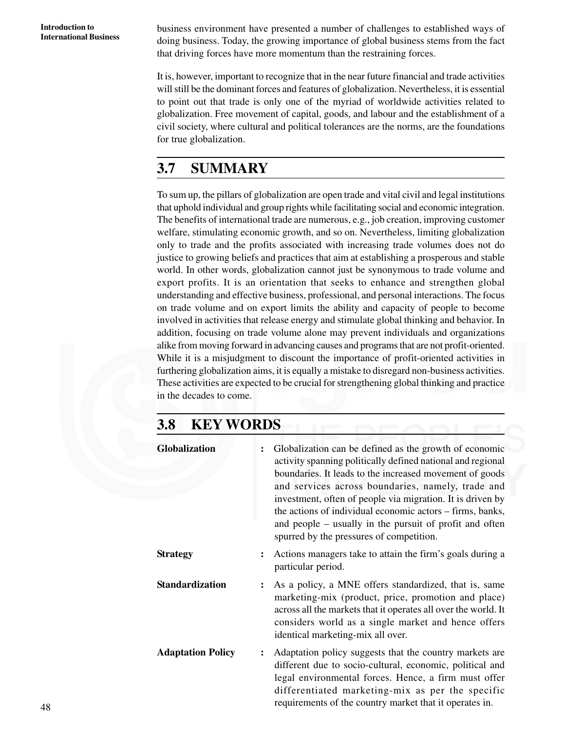business environment have presented a number of challenges to established ways of doing business. Today, the growing importance of global business stems from the fact that driving forces have more momentum than the restraining forces.

It is, however, important to recognize that in the near future financial and trade activities will still be the dominant forces and features of globalization. Nevertheless, it is essential to point out that trade is only one of the myriad of worldwide activities related to globalization. Free movement of capital, goods, and labour and the establishment of a civil society, where cultural and political tolerances are the norms, are the foundations for true globalization.

## **3.7 SUMMARY**

To sum up, the pillars of globalization are open trade and vital civil and legal institutions that uphold individual and group rights while facilitating social and economic integration. The benefits of international trade are numerous, e.g., job creation, improving customer welfare, stimulating economic growth, and so on. Nevertheless, limiting globalization only to trade and the profits associated with increasing trade volumes does not do justice to growing beliefs and practices that aim at establishing a prosperous and stable world. In other words, globalization cannot just be synonymous to trade volume and export profits. It is an orientation that seeks to enhance and strengthen global understanding and effective business, professional, and personal interactions. The focus on trade volume and on export limits the ability and capacity of people to become involved in activities that release energy and stimulate global thinking and behavior. In addition, focusing on trade volume alone may prevent individuals and organizations alike from moving forward in advancing causes and programs that are not profit-oriented. While it is a misjudgment to discount the importance of profit-oriented activities in furthering globalization aims, it is equally a mistake to disregard non-business activities. These activities are expected to be crucial for strengthening global thinking and practice in the decades to come.

### **3.8 KEY WORDS**

| <b>Globalization</b>     | Globalization can be defined as the growth of economic<br>activity spanning politically defined national and regional<br>boundaries. It leads to the increased movement of goods<br>and services across boundaries, namely, trade and<br>investment, often of people via migration. It is driven by<br>the actions of individual economic actors – firms, banks,<br>and people – usually in the pursuit of profit and often<br>spurred by the pressures of competition. |
|--------------------------|-------------------------------------------------------------------------------------------------------------------------------------------------------------------------------------------------------------------------------------------------------------------------------------------------------------------------------------------------------------------------------------------------------------------------------------------------------------------------|
| <b>Strategy</b>          | Actions managers take to attain the firm's goals during a<br>particular period.                                                                                                                                                                                                                                                                                                                                                                                         |
| <b>Standardization</b>   | As a policy, a MNE offers standardized, that is, same<br>marketing-mix (product, price, promotion and place)<br>across all the markets that it operates all over the world. It<br>considers world as a single market and hence offers<br>identical marketing-mix all over.                                                                                                                                                                                              |
| <b>Adaptation Policy</b> | Adaptation policy suggests that the country markets are<br>different due to socio-cultural, economic, political and<br>legal environmental forces. Hence, a firm must offer<br>differentiated marketing-mix as per the specific<br>requirements of the country market that it operates in.                                                                                                                                                                              |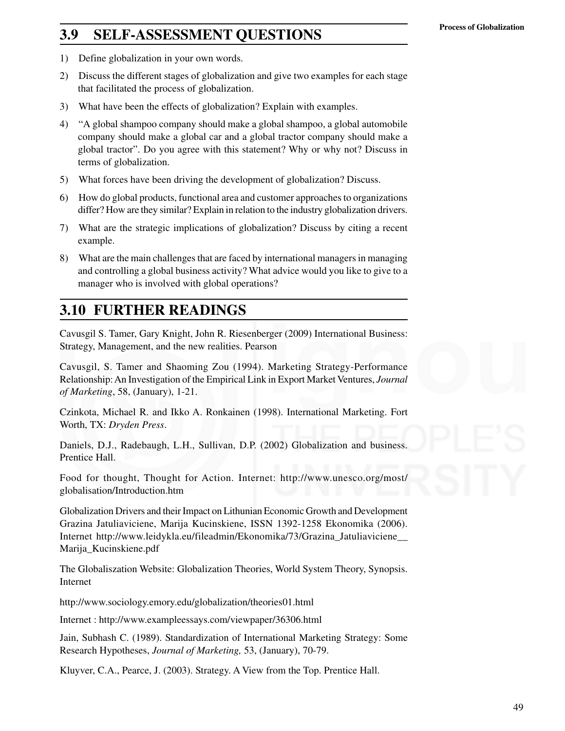# **Process of Globalization 3.9 SELF-ASSESSMENT QUESTIONS**

- 1) Define globalization in your own words.
- 2) Discuss the different stages of globalization and give two examples for each stage that facilitated the process of globalization.
- 3) What have been the effects of globalization? Explain with examples.
- 4) "A global shampoo company should make a global shampoo, a global automobile company should make a global car and a global tractor company should make a global tractor". Do you agree with this statement? Why or why not? Discuss in terms of globalization.
- 5) What forces have been driving the development of globalization? Discuss.
- 6) How do global products, functional area and customer approaches to organizations differ? How are they similar? Explain in relation to the industry globalization drivers.
- 7) What are the strategic implications of globalization? Discuss by citing a recent example.
- 8) What are the main challenges that are faced by international managers in managing and controlling a global business activity? What advice would you like to give to a manager who is involved with global operations?

### **3.10 FURTHER READINGS**

Cavusgil S. Tamer, Gary Knight, John R. Riesenberger (2009) International Business: Strategy, Management, and the new realities. Pearson

Cavusgil, S. Tamer and Shaoming Zou (1994). Marketing Strategy-Performance Relationship: An Investigation of the Empirical Link in Export Market Ventures, *Journal of Marketing*, 58, (January), 1-21.

Czinkota, Michael R. and Ikko A. Ronkainen (1998). International Marketing. Fort Worth, TX: *Dryden Press*.

Daniels, D.J., Radebaugh, L.H., Sullivan, D.P. (2002) Globalization and business. Prentice Hall.

Food for thought, Thought for Action. Internet: http://www.unesco.org/most/ globalisation/Introduction.htm

Globalization Drivers and their Impact on Lithunian Economic Growth and Development Grazina Jatuliaviciene, Marija Kucinskiene, ISSN 1392-1258 Ekonomika (2006). Internet http://www.leidykla.eu/fileadmin/Ekonomika/73/Grazina\_Jatuliaviciene\_\_ Marija\_Kucinskiene.pdf

The Globaliszation Website: Globalization Theories, World System Theory, Synopsis. Internet

http://www.sociology.emory.edu/globalization/theories01.html

Internet : http://www.exampleessays.com/viewpaper/36306.html

Jain, Subhash C. (1989). Standardization of International Marketing Strategy: Some Research Hypotheses, *Journal of Marketing,* 53, (January), 70-79.

Kluyver, C.A., Pearce, J. (2003). Strategy. A View from the Top. Prentice Hall.